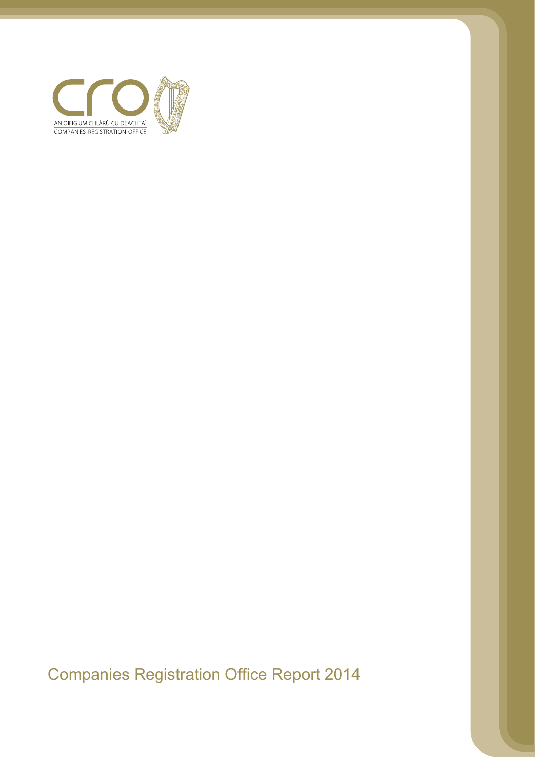

Companies Registration Office Report 2014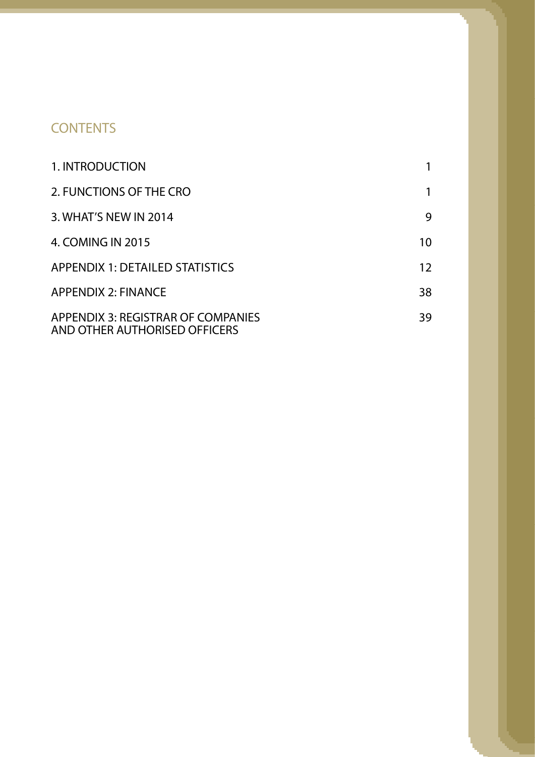# **CONTENTS**

| 1. INTRODUCTION                                                     |                 |
|---------------------------------------------------------------------|-----------------|
| 2. FUNCTIONS OF THE CRO                                             |                 |
| 3. WHAT'S NEW IN 2014                                               | 9               |
| 4. COMING IN 2015                                                   | 10              |
| <b>APPENDIX 1: DETAILED STATISTICS</b>                              | 12 <sup>2</sup> |
| <b>APPENDIX 2: FINANCE</b>                                          | 38              |
| APPENDIX 3: REGISTRAR OF COMPANIES<br>AND OTHER AUTHORISED OFFICERS | 39              |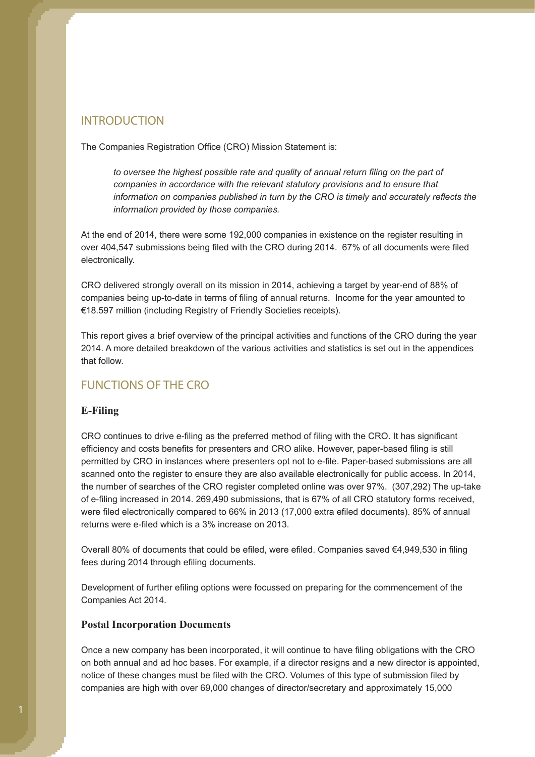# INTRODUCTION

The Companies Registration Office (CRO) Mission Statement is:

*to oversee the highest possible rate and quality of annual return filing on the part of companies in accordance with the relevant statutory provisions and to ensure that information on companies published in turn by the CRO is timely and accurately reflects the information provided by those companies.*

At the end of 2014, there were some 192,000 companies in existence on the register resulting in over 404,547 submissions being filed with the CRO during 2014. 67% of all documents were filed electronically.

CRO delivered strongly overall on its mission in 2014, achieving a target by year-end of 88% of companies being up-to-date in terms of filing of annual returns. Income for the year amounted to €18.597 million (including Registry of Friendly Societies receipts).

This report gives a brief overview of the principal activities and functions of the CRO during the year 2014. A more detailed breakdown of the various activities and statistics is set out in the appendices that follow.

# FUNCTIONS OF THE CRO

## **E-Filing**

CRO continues to drive e-filing as the preferred method of filing with the CRO. It has significant efficiency and costs benefits for presenters and CRO alike. However, paper-based filing is still permitted by CRO in instances where presenters opt not to e-file. Paper-based submissions are all scanned onto the register to ensure they are also available electronically for public access. In 2014, the number of searches of the CRO register completed online was over 97%. (307,292) The up-take of e-filing increased in 2014. 269,490 submissions, that is 67% of all CRO statutory forms received, were filed electronically compared to 66% in 2013 (17,000 extra efiled documents). 85% of annual returns were e-filed which is a 3% increase on 2013.

Overall 80% of documents that could be efiled, were efiled. Companies saved €4,949,530 in filing fees during 2014 through efiling documents.

Development of further efiling options were focussed on preparing for the commencement of the Companies Act 2014.

#### **Postal Incorporation Documents**

Once a new company has been incorporated, it will continue to have filing obligations with the CRO on both annual and ad hoc bases. For example, if a director resigns and a new director is appointed, notice of these changes must be filed with the CRO. Volumes of this type of submission filed by companies are high with over 69,000 changes of director/secretary and approximately 15,000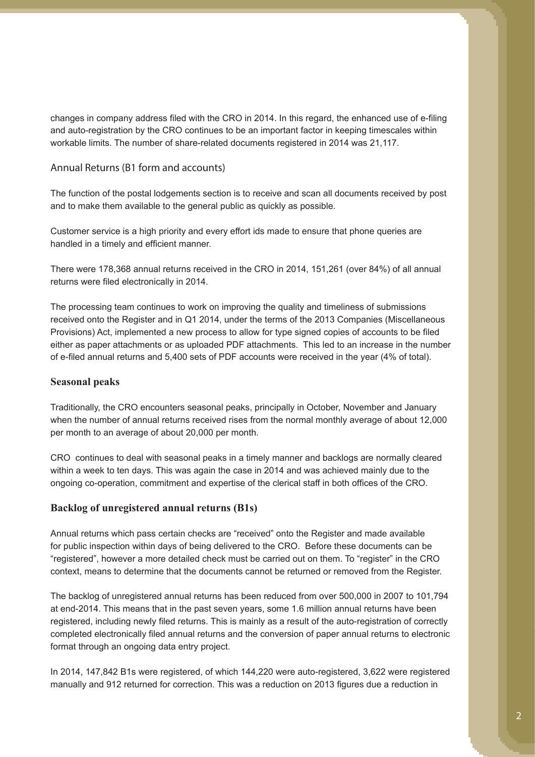changes in company address filed with the CRO in 2014. In this regard, the enhanced use of e-filing and auto-registration by the CRO continues to be an important factor in keeping timescales within workable limits. The number of share-related documents registered in 2014 was 21,117.

### Annual Returns (B1 form and accounts)

The function of the postal lodgements section is to receive and scan all documents received by post and to make them available to the general public as quickly as possible.

Customer service is a high priority and every effort ids made to ensure that phone queries are handled in a timely and efficient manner.

There were 178,368 annual returns received in the CRO in 2014, 151,261 (over 84%) of all annual returns were filed electronically in 2014.

The processing team continues to work on improving the quality and timeliness of submissions received onto the Register and in Q1 2014, under the terms of the 2013 Companies (Miscellaneous Provisions) Act, implemented a new process to allow for type signed copies of accounts to be filed either as paper attachments or as uploaded PDF attachments. This led to an increase in the number of e-filed annual returns and 5,400 sets of PDF accounts were received in the year (4% of total).

#### **Seasonal peaks**

Traditionally, the CRO encounters seasonal peaks, principally in October, November and January when the number of annual returns received rises from the normal monthly average of about 12,000 per month to an average of about 20,000 per month.

CRO continues to deal with seasonal peaks in a timely manner and backlogs are normally cleared within a week to ten days. This was again the case in 2014 and was achieved mainly due to the ongoing co-operation, commitment and expertise of the clerical staff in both offices of the CRO.

#### **Backlog of unregistered annual returns (B1s)**

Annual returns which pass certain checks are "received" onto the Register and made available for public inspection within days of being delivered to the CRO. Before these documents can be "registered", however a more detailed check must be carried out on them. To "register" in the CRO context, means to determine that the documents cannot be returned or removed from the Register.

The backlog of unregistered annual returns has been reduced from over 500,000 in 2007 to 101,794 at end-2014. This means that in the past seven years, some 1.6 million annual returns have been registered, including newly filed returns. This is mainly as a result of the auto-registration of correctly completed electronically filed annual returns and the conversion of paper annual returns to electronic format through an ongoing data entry project.

In 2014, 147,842 B1s were registered, of which 144,220 were auto-registered, 3,622 were registered manually and 912 returned for correction. This was a reduction on 2013 figures due a reduction in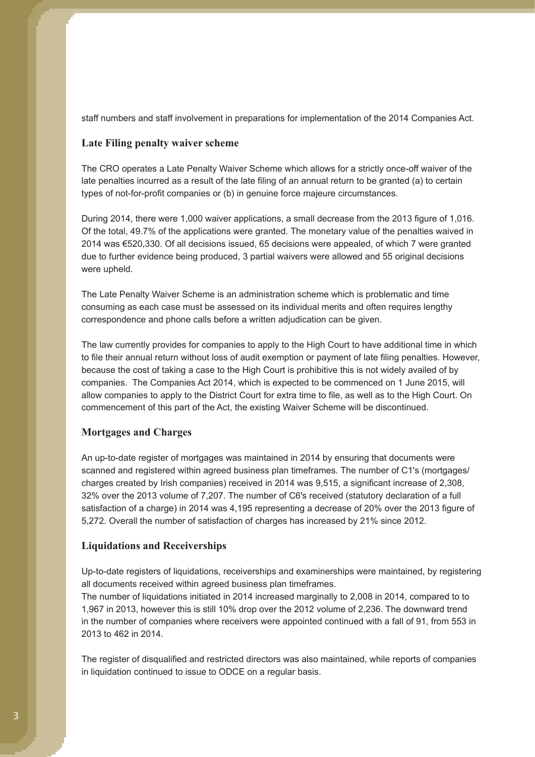staff numbers and staff involvement in preparations for implementation of the 2014 Companies Act.

#### **Late Filing penalty waiver scheme**

The CRO operates a Late Penalty Waiver Scheme which allows for a strictly once-off waiver of the late penalties incurred as a result of the late filing of an annual return to be granted (a) to certain types of not-for-profit companies or (b) in genuine force majeure circumstances.

During 2014, there were 1,000 waiver applications, a small decrease from the 2013 figure of 1,016. Of the total, 49.7% of the applications were granted. The monetary value of the penalties waived in 2014 was €520,330. Of all decisions issued, 65 decisions were appealed, of which 7 were granted due to further evidence being produced, 3 partial waivers were allowed and 55 original decisions were upheld.

The Late Penalty Waiver Scheme is an administration scheme which is problematic and time consuming as each case must be assessed on its individual merits and often requires lengthy correspondence and phone calls before a written adjudication can be given.

The law currently provides for companies to apply to the High Court to have additional time in which to file their annual return without loss of audit exemption or payment of late filing penalties. However, because the cost of taking a case to the High Court is prohibitive this is not widely availed of by companies. The Companies Act 2014, which is expected to be commenced on 1 June 2015, will allow companies to apply to the District Court for extra time to file, as well as to the High Court. On commencement of this part of the Act, the existing Waiver Scheme will be discontinued.

## **Mortgages and Charges**

An up-to-date register of mortgages was maintained in 2014 by ensuring that documents were scanned and registered within agreed business plan timeframes. The number of C1's (mortgages/ charges created by Irish companies) received in 2014 was 9,515, a significant increase of 2,308, 32% over the 2013 volume of 7,207. The number of C6's received (statutory declaration of a full satisfaction of a charge) in 2014 was 4,195 representing a decrease of 20% over the 2013 figure of 5,272. Overall the number of satisfaction of charges has increased by 21% since 2012.

## **Liquidations and Receiverships**

Up-to-date registers of liquidations, receiverships and examinerships were maintained, by registering all documents received within agreed business plan timeframes.

The number of liquidations initiated in 2014 increased marginally to 2,008 in 2014, compared to to 1,967 in 2013, however this is still 10% drop over the 2012 volume of 2,236. The downward trend in the number of companies where receivers were appointed continued with a fall of 91, from 553 in 2013 to 462 in 2014.

The register of disqualified and restricted directors was also maintained, while reports of companies in liquidation continued to issue to ODCE on a regular basis.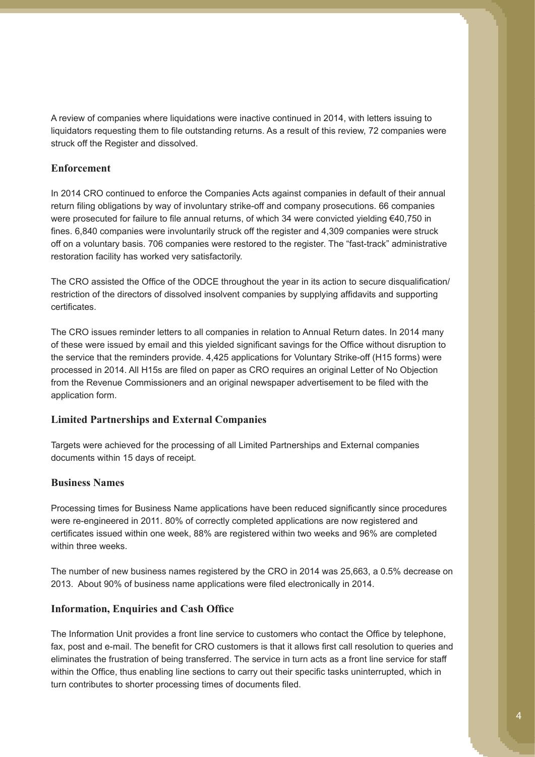A review of companies where liquidations were inactive continued in 2014, with letters issuing to liquidators requesting them to file outstanding returns. As a result of this review, 72 companies were struck off the Register and dissolved.

## **Enforcement**

In 2014 CRO continued to enforce the Companies Acts against companies in default of their annual return filing obligations by way of involuntary strike-off and company prosecutions. 66 companies were prosecuted for failure to file annual returns, of which 34 were convicted yielding €40,750 in fines. 6,840 companies were involuntarily struck off the register and 4,309 companies were struck off on a voluntary basis. 706 companies were restored to the register. The "fast-track" administrative restoration facility has worked very satisfactorily.

The CRO assisted the Office of the ODCE throughout the year in its action to secure disqualification/ restriction of the directors of dissolved insolvent companies by supplying affidavits and supporting certificates.

The CRO issues reminder letters to all companies in relation to Annual Return dates. In 2014 many of these were issued by email and this yielded significant savings for the Office without disruption to the service that the reminders provide. 4,425 applications for Voluntary Strike-off (H15 forms) were processed in 2014. All H15s are filed on paper as CRO requires an original Letter of No Objection from the Revenue Commissioners and an original newspaper advertisement to be filed with the application form.

## **Limited Partnerships and External Companies**

Targets were achieved for the processing of all Limited Partnerships and External companies documents within 15 days of receipt.

## **Business Names**

Processing times for Business Name applications have been reduced significantly since procedures were re-engineered in 2011. 80% of correctly completed applications are now registered and certificates issued within one week, 88% are registered within two weeks and 96% are completed within three weeks.

The number of new business names registered by the CRO in 2014 was 25,663, a 0.5% decrease on 2013. About 90% of business name applications were filed electronically in 2014.

## **Information, Enquiries and Cash Office**

The Information Unit provides a front line service to customers who contact the Office by telephone, fax, post and e-mail. The benefit for CRO customers is that it allows first call resolution to queries and eliminates the frustration of being transferred. The service in turn acts as a front line service for staff within the Office, thus enabling line sections to carry out their specific tasks uninterrupted, which in turn contributes to shorter processing times of documents filed.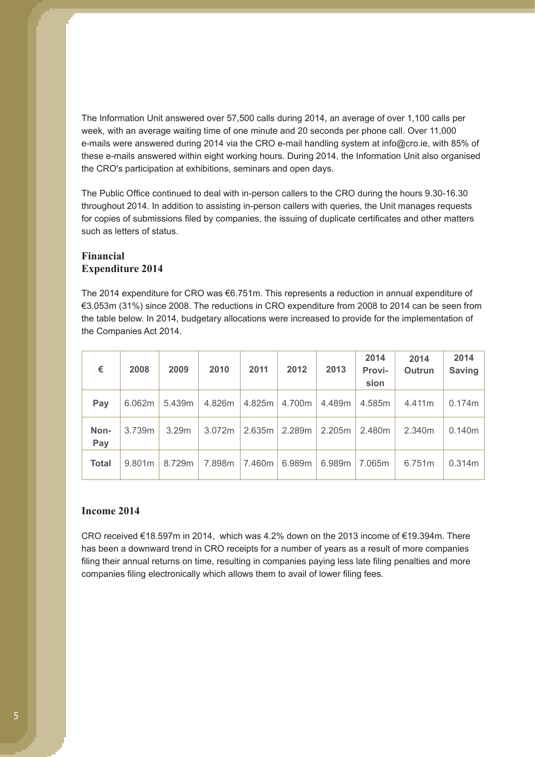The Information Unit answered over 57,500 calls during 2014, an average of over 1,100 calls per week, with an average waiting time of one minute and 20 seconds per phone call. Over 11,000 e-mails were answered during 2014 via the CRO e-mail handling system at info@cro.ie, with 85% of these e-mails answered within eight working hours. During 2014, the Information Unit also organised the CRO's participation at exhibitions, seminars and open days.

The Public Office continued to deal with in-person callers to the CRO during the hours 9.30-16.30 throughout 2014. In addition to assisting in-person callers with queries, the Unit manages requests for copies of submissions filed by companies, the issuing of duplicate certificates and other matters such as letters of status.

## **Financial Expenditure 2014**

The 2014 expenditure for CRO was €6.751m. This represents a reduction in annual expenditure of €3.053m (31%) since 2008. The reductions in CRO expenditure from 2008 to 2014 can be seen from the table below. In 2014, budgetary allocations were increased to provide for the implementation of the Companies Act 2014.

| €            | 2008   | 2009   | 2010   | 2011   | 2012   | 2013   | 2014<br>Provi-<br>sion | 2014<br>Outrun | 2014<br><b>Saving</b> |
|--------------|--------|--------|--------|--------|--------|--------|------------------------|----------------|-----------------------|
| Pay          | 6.062m | 5.439m | 4.826m | 4.825m | 4.700m | 4.489m | 4.585m                 | 4.411m         | 0.174m                |
| Non-<br>Pay  | 3.739m | 3.29m  | 3.072m | 2.635m | 2.289m | 2.205m | 2.480m                 | 2.340m         | 0.140m                |
| <b>Total</b> | 9.801m | 8.729m | 7.898m | 7.460m | 6.989m | 6.989m | 7.065m                 | 6.751m         | 0.314m                |

## **Income 2014**

CRO received €18.597m in 2014, which was 4.2% down on the 2013 income of €19.394m. There has been a downward trend in CRO receipts for a number of years as a result of more companies filing their annual returns on time, resulting in companies paying less late filing penalties and more companies filing electronically which allows them to avail of lower filing fees.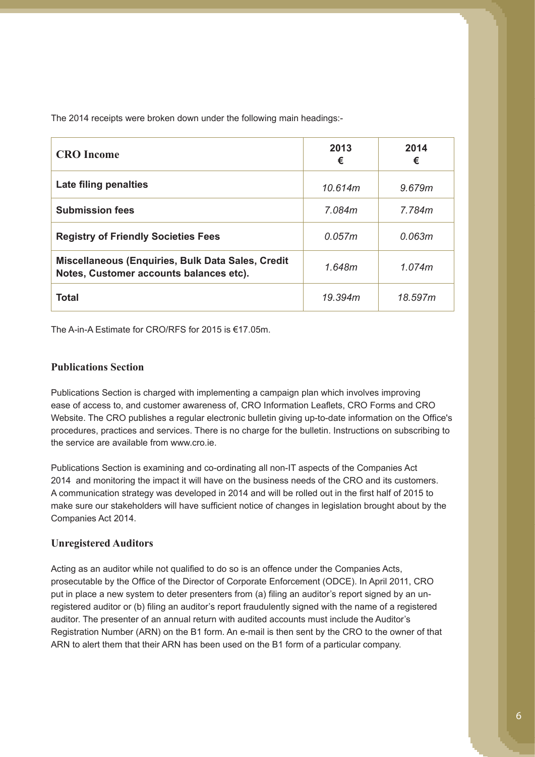The 2014 receipts were broken down under the following main headings:-

| <b>CRO</b> Income                                                                            | 2013<br>€ | 2014<br>€ |
|----------------------------------------------------------------------------------------------|-----------|-----------|
| Late filing penalties                                                                        | 10.614m   | 9.679m    |
| <b>Submission fees</b>                                                                       | 7.084m    | 7.784m    |
| <b>Registry of Friendly Societies Fees</b>                                                   | 0.057m    | 0.063m    |
| Miscellaneous (Enquiries, Bulk Data Sales, Credit<br>Notes, Customer accounts balances etc). | 1.648m    | 1.074m    |
| Total                                                                                        | 19.394m   | 18.597m   |

The A-in-A Estimate for CRO/RFS for 2015 is €17.05m.

#### **Publications Section**

Publications Section is charged with implementing a campaign plan which involves improving ease of access to, and customer awareness of, CRO Information Leaflets, CRO Forms and CRO Website. The CRO publishes a regular electronic bulletin giving up-to-date information on the Office's procedures, practices and services. There is no charge for the bulletin. Instructions on subscribing to the service are available from www.cro.ie.

Publications Section is examining and co-ordinating all non-IT aspects of the Companies Act 2014 and monitoring the impact it will have on the business needs of the CRO and its customers. A communication strategy was developed in 2014 and will be rolled out in the first half of 2015 to make sure our stakeholders will have sufficient notice of changes in legislation brought about by the Companies Act 2014.

## **Unregistered Auditors**

Acting as an auditor while not qualified to do so is an offence under the Companies Acts, prosecutable by the Office of the Director of Corporate Enforcement (ODCE). In April 2011, CRO put in place a new system to deter presenters from (a) filing an auditor's report signed by an unregistered auditor or (b) filing an auditor's report fraudulently signed with the name of a registered auditor. The presenter of an annual return with audited accounts must include the Auditor's Registration Number (ARN) on the B1 form. An e-mail is then sent by the CRO to the owner of that ARN to alert them that their ARN has been used on the B1 form of a particular company.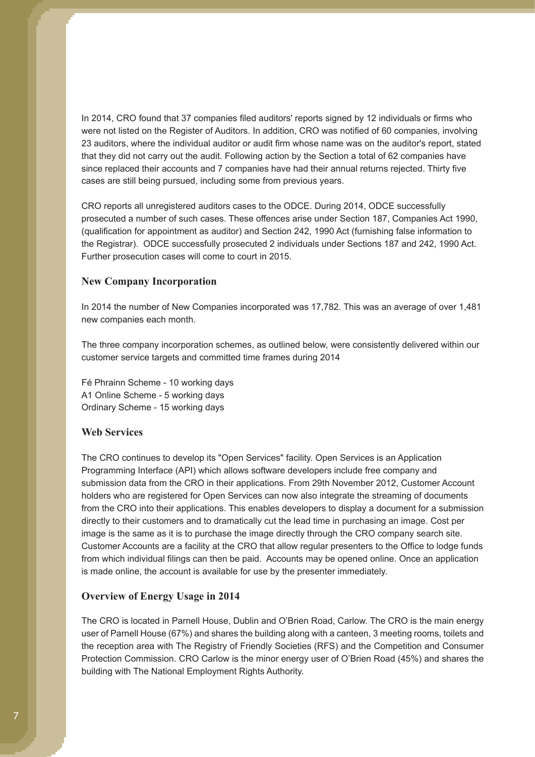In 2014, CRO found that 37 companies filed auditors' reports signed by 12 individuals or firms who were not listed on the Register of Auditors. In addition, CRO was notified of 60 companies, involving 23 auditors, where the individual auditor or audit firm whose name was on the auditor's report, stated that they did not carry out the audit. Following action by the Section a total of 62 companies have since replaced their accounts and 7 companies have had their annual returns rejected. Thirty five cases are still being pursued, including some from previous years.

CRO reports all unregistered auditors cases to the ODCE. During 2014, ODCE successfully prosecuted a number of such cases. These offences arise under Section 187, Companies Act 1990, (qualification for appointment as auditor) and Section 242, 1990 Act (furnishing false information to the Registrar). ODCE successfully prosecuted 2 individuals under Sections 187 and 242, 1990 Act. Further prosecution cases will come to court in 2015.

#### **New Company Incorporation**

In 2014 the number of New Companies incorporated was 17,782. This was an average of over 1,481 new companies each month.

The three company incorporation schemes, as outlined below, were consistently delivered within our customer service targets and committed time frames during 2014

Fé Phrainn Scheme - 10 working days A1 Online Scheme - 5 working days Ordinary Scheme - 15 working days

#### **Web Services**

The CRO continues to develop its "Open Services" facility. Open Services is an Application Programming Interface (API) which allows software developers include free company and submission data from the CRO in their applications. From 29th November 2012, Customer Account holders who are registered for Open Services can now also integrate the streaming of documents from the CRO into their applications. This enables developers to display a document for a submission directly to their customers and to dramatically cut the lead time in purchasing an image. Cost per image is the same as it is to purchase the image directly through the CRO company search site. Customer Accounts are a facility at the CRO that allow regular presenters to the Office to lodge funds from which individual filings can then be paid. Accounts may be opened online. Once an application is made online, the account is available for use by the presenter immediately.

#### **Overview of Energy Usage in 2014**

The CRO is located in Parnell House, Dublin and O'Brien Road, Carlow. The CRO is the main energy user of Parnell House (67%) and shares the building along with a canteen, 3 meeting rooms, toilets and the reception area with The Registry of Friendly Societies (RFS) and the Competition and Consumer Protection Commission. CRO Carlow is the minor energy user of O'Brien Road (45%) and shares the building with The National Employment Rights Authority.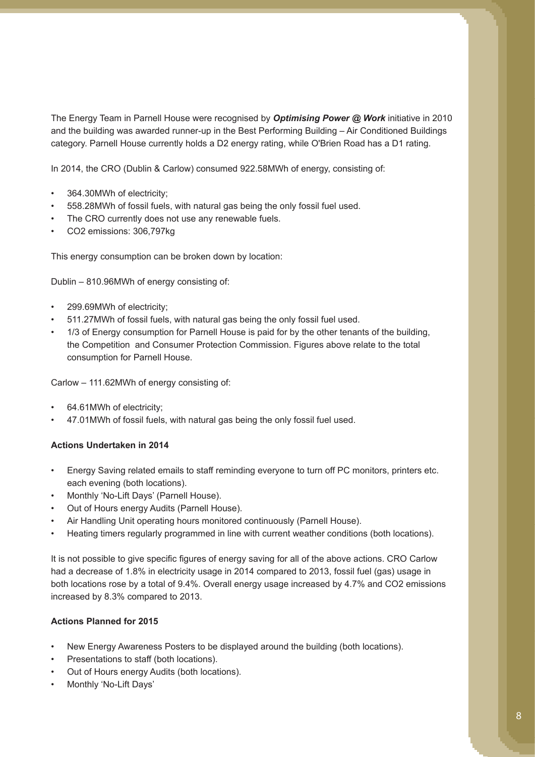The Energy Team in Parnell House were recognised by *Optimising Power @ Work* initiative in 2010 and the building was awarded runner-up in the Best Performing Building – Air Conditioned Buildings category. Parnell House currently holds a D2 energy rating, while O'Brien Road has a D1 rating.

In 2014, the CRO (Dublin & Carlow) consumed 922.58MWh of energy, consisting of:

- 364.30MWh of electricity;
- 558.28MWh of fossil fuels, with natural gas being the only fossil fuel used.
- The CRO currently does not use any renewable fuels.
- CO2 emissions: 306,797kg

This energy consumption can be broken down by location:

Dublin – 810.96MWh of energy consisting of:

- 299.69MWh of electricity;
- 511.27MWh of fossil fuels, with natural gas being the only fossil fuel used.
- 1/3 of Energy consumption for Parnell House is paid for by the other tenants of the building, the Competition and Consumer Protection Commission. Figures above relate to the total consumption for Parnell House.

Carlow – 111.62MWh of energy consisting of:

- 64.61MWh of electricity;
- 47.01MWh of fossil fuels, with natural gas being the only fossil fuel used.

#### **Actions Undertaken in 2014**

- Energy Saving related emails to staff reminding everyone to turn off PC monitors, printers etc. each evening (both locations).
- Monthly 'No-Lift Days' (Parnell House).
- Out of Hours energy Audits (Parnell House).
- Air Handling Unit operating hours monitored continuously (Parnell House).
- Heating timers regularly programmed in line with current weather conditions (both locations).

It is not possible to give specific figures of energy saving for all of the above actions. CRO Carlow had a decrease of 1.8% in electricity usage in 2014 compared to 2013, fossil fuel (gas) usage in both locations rose by a total of 9.4%. Overall energy usage increased by 4.7% and CO2 emissions increased by 8.3% compared to 2013.

#### **Actions Planned for 2015**

- New Energy Awareness Posters to be displayed around the building (both locations).
- Presentations to staff (both locations).
- Out of Hours energy Audits (both locations).
- Monthly 'No-Lift Days'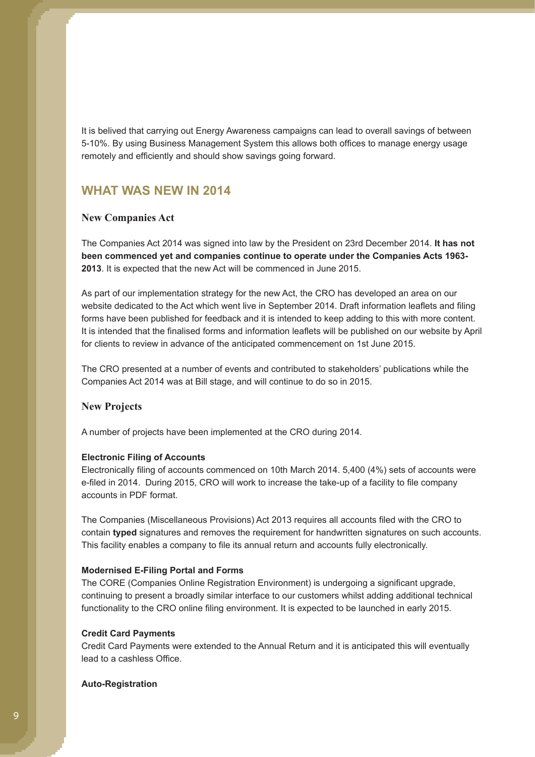It is belived that carrying out Energy Awareness campaigns can lead to overall savings of between 5-10%. By using Business Management System this allows both offices to manage energy usage remotely and efficiently and should show savings going forward.

# **WHAT WAS NEW IN 2014**

#### **New Companies Act**

The Companies Act 2014 was signed into law by the President on 23rd December 2014. **It has not been commenced yet and companies continue to operate under the Companies Acts 1963- 2013**. It is expected that the new Act will be commenced in June 2015.

As part of our implementation strategy for the new Act, the CRO has developed an area on our website dedicated to the Act which went live in September 2014. Draft information leaflets and filing forms have been published for feedback and it is intended to keep adding to this with more content. It is intended that the finalised forms and information leaflets will be published on our website by April for clients to review in advance of the anticipated commencement on 1st June 2015.

The CRO presented at a number of events and contributed to stakeholders' publications while the Companies Act 2014 was at Bill stage, and will continue to do so in 2015.

## **New Projects**

A number of projects have been implemented at the CRO during 2014.

#### **Electronic Filing of Accounts**

Electronically filing of accounts commenced on 10th March 2014. 5,400 (4%) sets of accounts were e-filed in 2014. During 2015, CRO will work to increase the take-up of a facility to file company accounts in PDF format.

The Companies (Miscellaneous Provisions) Act 2013 requires all accounts filed with the CRO to contain **typed** signatures and removes the requirement for handwritten signatures on such accounts. This facility enables a company to file its annual return and accounts fully electronically.

#### **Modernised E-Filing Portal and Forms**

The CORE (Companies Online Registration Environment) is undergoing a significant upgrade, continuing to present a broadly similar interface to our customers whilst adding additional technical functionality to the CRO online filing environment. It is expected to be launched in early 2015.

#### **Credit Card Payments**

Credit Card Payments were extended to the Annual Return and it is anticipated this will eventually lead to a cashless Office.

#### **Auto-Registration**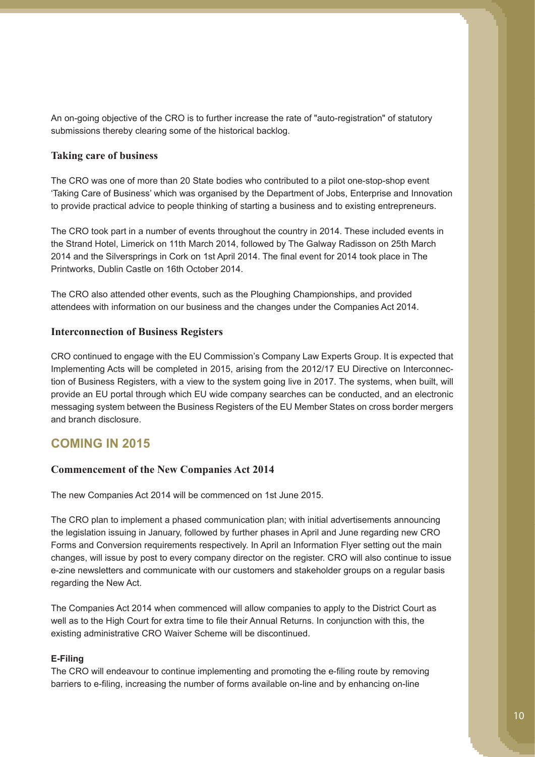An on-going objective of the CRO is to further increase the rate of "auto-registration" of statutory submissions thereby clearing some of the historical backlog.

### **Taking care of business**

The CRO was one of more than 20 State bodies who contributed to a pilot one-stop-shop event 'Taking Care of Business' which was organised by the Department of Jobs, Enterprise and Innovation to provide practical advice to people thinking of starting a business and to existing entrepreneurs.

The CRO took part in a number of events throughout the country in 2014. These included events in the Strand Hotel, Limerick on 11th March 2014, followed by The Galway Radisson on 25th March 2014 and the Silversprings in Cork on 1st April 2014. The final event for 2014 took place in The Printworks, Dublin Castle on 16th October 2014.

The CRO also attended other events, such as the Ploughing Championships, and provided attendees with information on our business and the changes under the Companies Act 2014.

#### **Interconnection of Business Registers**

CRO continued to engage with the EU Commission's Company Law Experts Group. It is expected that Implementing Acts will be completed in 2015, arising from the 2012/17 EU Directive on Interconnection of Business Registers, with a view to the system going live in 2017. The systems, when built, will provide an EU portal through which EU wide company searches can be conducted, and an electronic messaging system between the Business Registers of the EU Member States on cross border mergers and branch disclosure.

## **COMING IN 2015**

## **Commencement of the New Companies Act 2014**

The new Companies Act 2014 will be commenced on 1st June 2015.

The CRO plan to implement a phased communication plan; with initial advertisements announcing the legislation issuing in January, followed by further phases in April and June regarding new CRO Forms and Conversion requirements respectively. In April an Information Flyer setting out the main changes, will issue by post to every company director on the register. CRO will also continue to issue e-zine newsletters and communicate with our customers and stakeholder groups on a regular basis regarding the New Act.

The Companies Act 2014 when commenced will allow companies to apply to the District Court as well as to the High Court for extra time to file their Annual Returns. In conjunction with this, the existing administrative CRO Waiver Scheme will be discontinued.

#### **E-Filing**

The CRO will endeavour to continue implementing and promoting the e-filing route by removing barriers to e-filing, increasing the number of forms available on-line and by enhancing on-line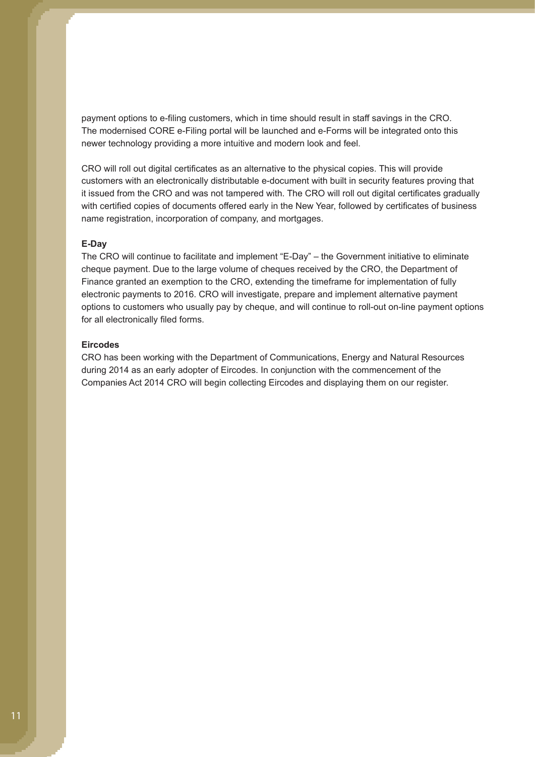payment options to e-filing customers, which in time should result in staff savings in the CRO. The modernised CORE e-Filing portal will be launched and e-Forms will be integrated onto this newer technology providing a more intuitive and modern look and feel.

CRO will roll out digital certificates as an alternative to the physical copies. This will provide customers with an electronically distributable e-document with built in security features proving that it issued from the CRO and was not tampered with. The CRO will roll out digital certificates gradually with certified copies of documents offered early in the New Year, followed by certificates of business name registration, incorporation of company, and mortgages.

#### **E-Day**

The CRO will continue to facilitate and implement "E-Day" – the Government initiative to eliminate cheque payment. Due to the large volume of cheques received by the CRO, the Department of Finance granted an exemption to the CRO, extending the timeframe for implementation of fully electronic payments to 2016. CRO will investigate, prepare and implement alternative payment options to customers who usually pay by cheque, and will continue to roll-out on-line payment options for all electronically filed forms.

#### **Eircodes**

CRO has been working with the Department of Communications, Energy and Natural Resources during 2014 as an early adopter of Eircodes. In conjunction with the commencement of the Companies Act 2014 CRO will begin collecting Eircodes and displaying them on our register.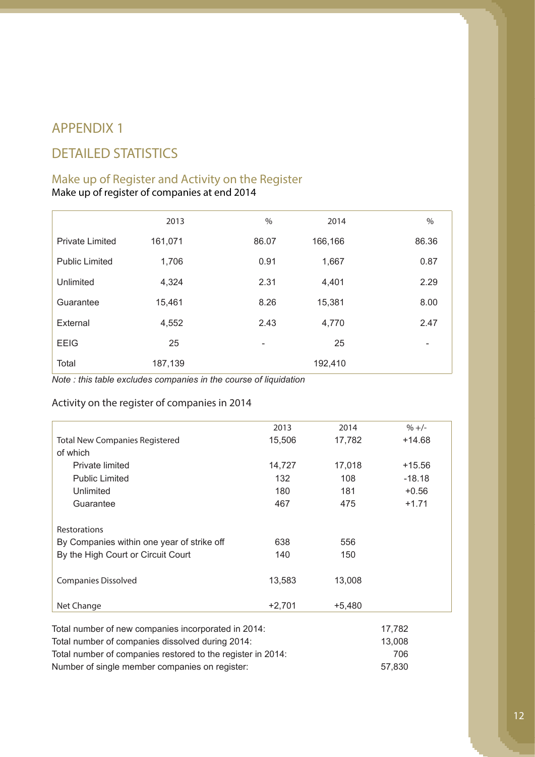# APPENDIX 1

# DETAILED STATISTICS

# Make up of Register and Activity on the Register

Make up of register of companies at end 2014

|                        | 2013    | $\%$  | 2014    | $\%$                     |
|------------------------|---------|-------|---------|--------------------------|
| <b>Private Limited</b> | 161,071 | 86.07 | 166,166 | 86.36                    |
| <b>Public Limited</b>  | 1,706   | 0.91  | 1,667   | 0.87                     |
| Unlimited              | 4,324   | 2.31  | 4,401   | 2.29                     |
| Guarantee              | 15,461  | 8.26  | 15,381  | 8.00                     |
| External               | 4,552   | 2.43  | 4,770   | 2.47                     |
| <b>EEIG</b>            | 25      | ۰     | 25      | $\overline{\phantom{a}}$ |
| Total                  | 187,139 |       | 192,410 |                          |

*Note : this table excludes companies in the course of liquidation*

## Activity on the register of companies in 2014

|                                                             | 2013     | 2014     | $% +/-$  |
|-------------------------------------------------------------|----------|----------|----------|
| <b>Total New Companies Registered</b>                       | 15,506   | 17,782   | $+14.68$ |
| of which                                                    |          |          |          |
| Private limited                                             | 14,727   | 17,018   | $+15.56$ |
| <b>Public Limited</b>                                       | 132      | 108      | $-18.18$ |
| Unlimited                                                   | 180      | 181      | $+0.56$  |
| Guarantee                                                   | 467      | 475      | $+1.71$  |
|                                                             |          |          |          |
| Restorations                                                |          |          |          |
| By Companies within one year of strike off                  | 638      | 556      |          |
| By the High Court or Circuit Court                          | 140      | 150      |          |
|                                                             |          |          |          |
| <b>Companies Dissolved</b>                                  | 13,583   | 13,008   |          |
|                                                             |          |          |          |
| Net Change                                                  | $+2,701$ | $+5,480$ |          |
|                                                             |          |          |          |
| Total number of new companies incorporated in 2014:         |          | 17,782   |          |
| Total number of companies dissolved during 2014:            |          |          | 13,008   |
| Total number of companies restored to the register in 2014: |          | 706      |          |

Number of single member companies on register: 57,830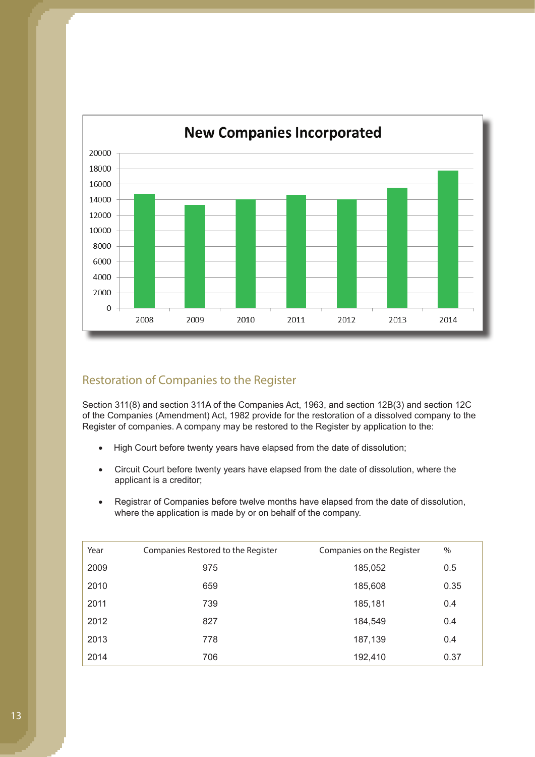

# Restoration of Companies to the Register

Section 311(8) and section 311A of the Companies Act, 1963, and section 12B(3) and section 12C of the Companies (Amendment) Act, 1982 provide for the restoration of a dissolved company to the Register of companies. A company may be restored to the Register by application to the:

- High Court before twenty years have elapsed from the date of dissolution;
- Circuit Court before twenty years have elapsed from the date of dissolution, where the applicant is a creditor;
- Registrar of Companies before twelve months have elapsed from the date of dissolution, where the application is made by or on behalf of the company.

| Year | Companies Restored to the Register | Companies on the Register | $\%$ |
|------|------------------------------------|---------------------------|------|
| 2009 | 975                                | 185,052                   | 0.5  |
| 2010 | 659                                | 185,608                   | 0.35 |
| 2011 | 739                                | 185,181                   | 0.4  |
| 2012 | 827                                | 184,549                   | 0.4  |
| 2013 | 778                                | 187,139                   | 0.4  |
| 2014 | 706                                | 192,410                   | 0.37 |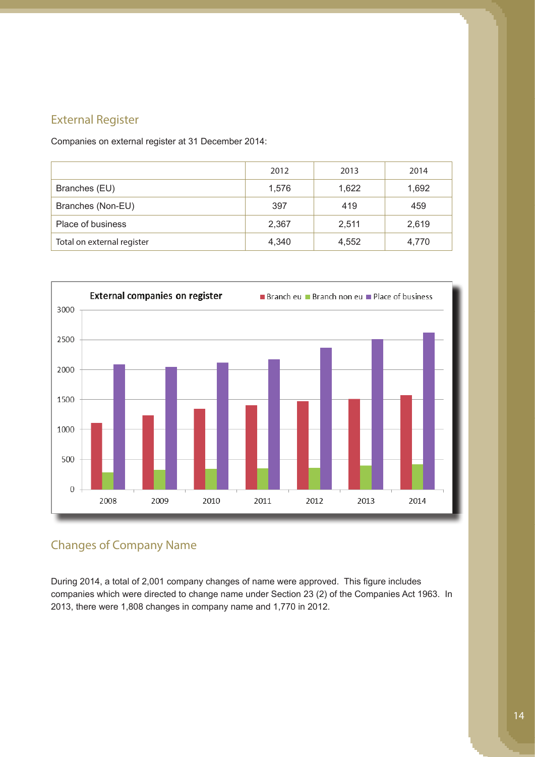# External Register

Companies on external register at 31 December 2014:

|                            | 2012  | 2013  | 2014  |
|----------------------------|-------|-------|-------|
| Branches (EU)              | 1,576 | 1,622 | 1,692 |
| Branches (Non-EU)          | 397   | 419   | 459   |
| Place of business          | 2,367 | 2,511 | 2,619 |
| Total on external register | 4,340 | 4,552 | 4,770 |



# Changes of Company Name

During 2014, a total of 2,001 company changes of name were approved. This figure includes companies which were directed to change name under Section 23 (2) of the Companies Act 1963. In 2013, there were 1,808 changes in company name and 1,770 in 2012.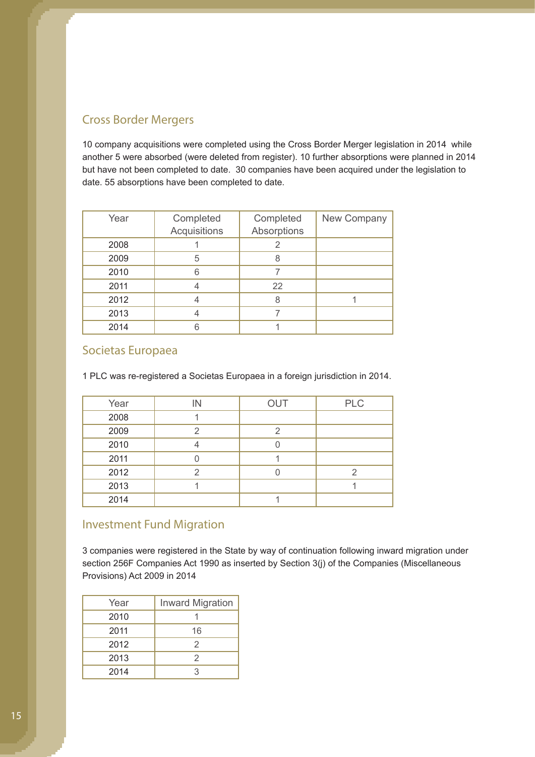# Cross Border Mergers

10 company acquisitions were completed using the Cross Border Merger legislation in 2014 while another 5 were absorbed (were deleted from register). 10 further absorptions were planned in 2014 but have not been completed to date. 30 companies have been acquired under the legislation to date. 55 absorptions have been completed to date.

| Year | Completed<br>Acquisitions | Completed<br>Absorptions | New Company |
|------|---------------------------|--------------------------|-------------|
| 2008 |                           |                          |             |
| 2009 | 5                         | 8                        |             |
| 2010 |                           |                          |             |
| 2011 |                           | 22                       |             |
| 2012 |                           |                          |             |
| 2013 |                           |                          |             |
| 2014 |                           |                          |             |

# Societas Europaea

1 PLC was re-registered a Societas Europaea in a foreign jurisdiction in 2014.

| Year | IN | <b>OUT</b> | <b>PLC</b> |
|------|----|------------|------------|
| 2008 |    |            |            |
| 2009 |    |            |            |
| 2010 |    |            |            |
| 2011 |    |            |            |
| 2012 | 2  |            |            |
| 2013 |    |            |            |
| 2014 |    |            |            |

# Investment Fund Migration

3 companies were registered in the State by way of continuation following inward migration under section 256F Companies Act 1990 as inserted by Section 3(j) of the Companies (Miscellaneous Provisions) Act 2009 in 2014

| Year | <b>Inward Migration</b> |
|------|-------------------------|
| 2010 |                         |
| 2011 | 16                      |
| 2012 | 2                       |
| 2013 | 2                       |
| 2014 | 3                       |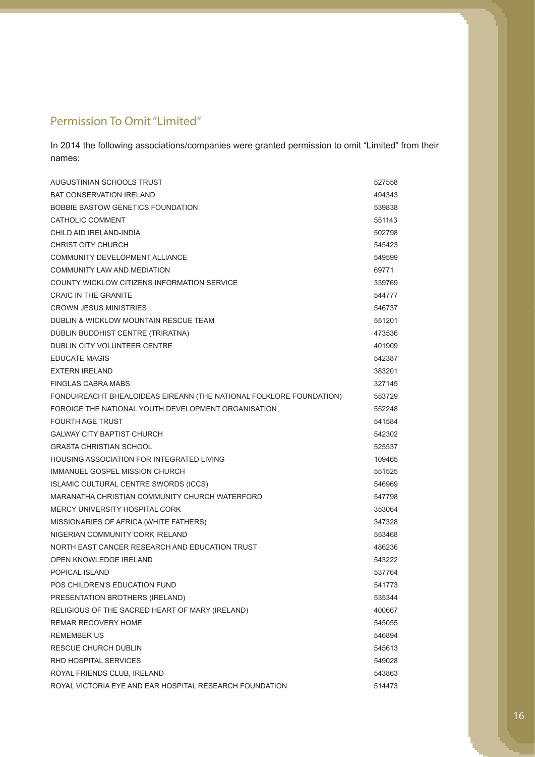# Permission To Omit "Limited"

In 2014 the following associations/companies were granted permission to omit "Limited" from their names:

| AUGUSTINIAN SCHOOLS TRUST                                           | 527558 |
|---------------------------------------------------------------------|--------|
| <b>BAT CONSERVATION IRELAND</b>                                     | 494343 |
| BOBBIE BASTOW GENETICS FOUNDATION                                   | 539838 |
| CATHOLIC COMMENT                                                    | 551143 |
| CHILD AID IRELAND-INDIA                                             | 502798 |
| <b>CHRIST CITY CHURCH</b>                                           | 545423 |
| COMMUNITY DEVELOPMENT ALLIANCE                                      | 549599 |
| COMMUNITY LAW AND MEDIATION                                         | 69771  |
| COUNTY WICKLOW CITIZENS INFORMATION SERVICE                         | 339769 |
| <b>CRAIC IN THE GRANITE</b>                                         | 544777 |
| <b>CROWN JESUS MINISTRIES</b>                                       | 546737 |
| DUBLIN & WICKLOW MOUNTAIN RESCUE TEAM                               | 551201 |
| DUBLIN BUDDHIST CENTRE (TRIRATNA)                                   | 473536 |
| <b>DUBLIN CITY VOLUNTEER CENTRE</b>                                 | 401909 |
| <b>EDUCATE MAGIS</b>                                                | 542387 |
| <b>EXTERN IRELAND</b>                                               | 383201 |
| <b>FINGLAS CABRA MABS</b>                                           | 327145 |
| FONDUIREACHT BHEALOIDEAS EIREANN (THE NATIONAL FOLKLORE FOUNDATION) | 553729 |
| FOROIGE THE NATIONAL YOUTH DEVELOPMENT ORGANISATION                 | 552248 |
| <b>FOURTH AGF TRUST</b>                                             | 541584 |
| <b>GALWAY CITY BAPTIST CHURCH</b>                                   | 542302 |
| <b>GRASTA CHRISTIAN SCHOOL</b>                                      | 525537 |
| <b>HOUSING ASSOCIATION FOR INTEGRATED LIVING</b>                    | 109465 |
| IMMANUEL GOSPEL MISSION CHURCH                                      | 551525 |
| ISLAMIC CULTURAL CENTRE SWORDS (ICCS)                               | 546969 |
| MARANATHA CHRISTIAN COMMUNITY CHURCH WATERFORD                      | 547798 |
| <b>MERCY UNIVERSITY HOSPITAL CORK</b>                               | 353064 |
| MISSIONARIES OF AFRICA (WHITE FATHERS)                              | 347328 |
| NIGERIAN COMMUNITY CORK IRELAND                                     | 553468 |
| NORTH EAST CANCER RESEARCH AND EDUCATION TRUST                      | 486236 |
| OPEN KNOWLEDGE IRELAND                                              | 543222 |
| POPICAL ISLAND                                                      | 537764 |
| POS CHILDREN'S EDUCATION FUND                                       | 541773 |
| PRESENTATION BROTHERS (IRELAND)                                     | 535344 |
| RELIGIOUS OF THE SACRED HEART OF MARY (IRELAND)                     | 400667 |
| REMAR RECOVERY HOME                                                 | 545055 |
| <b>REMEMBER US</b>                                                  | 546894 |
| RESCUE CHURCH DUBLIN                                                | 545613 |
| RHD HOSPITAL SERVICES                                               | 549028 |
| ROYAL FRIENDS CLUB, IRELAND                                         | 543863 |
| ROYAL VICTORIA EYE AND EAR HOSPITAL RESEARCH FOUNDATION             | 514473 |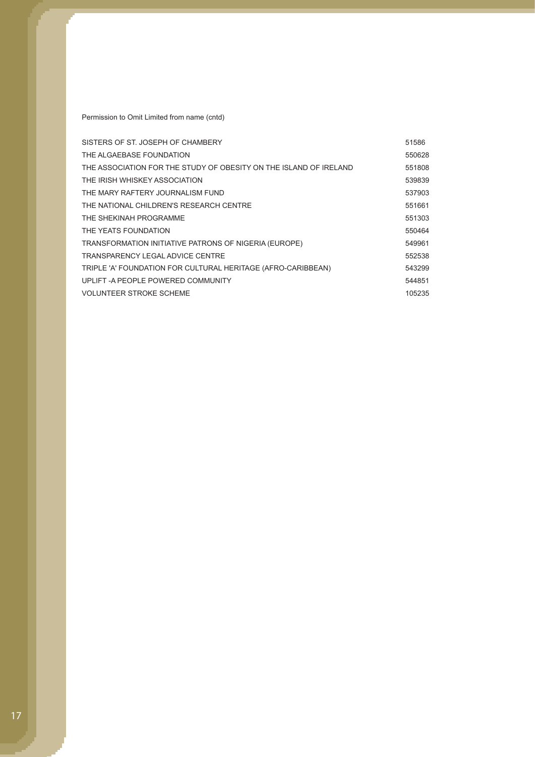Permission to Omit Limited from name (cntd)

| SISTERS OF ST. JOSEPH OF CHAMBERY                                 | 51586  |
|-------------------------------------------------------------------|--------|
| THE ALGAEBASE FOUNDATION                                          | 550628 |
| THE ASSOCIATION FOR THE STUDY OF OBESITY ON THE ISLAND OF IRELAND | 551808 |
| THE IRISH WHISKEY ASSOCIATION                                     | 539839 |
| THE MARY RAFTERY JOURNALISM FUND                                  | 537903 |
| THE NATIONAL CHILDREN'S RESEARCH CENTRE                           | 551661 |
| THE SHEKINAH PROGRAMME                                            | 551303 |
| THE YEATS FOUNDATION                                              | 550464 |
| TRANSFORMATION INITIATIVE PATRONS OF NIGERIA (EUROPE)             | 549961 |
| TRANSPARENCY LEGAL ADVICE CENTRE                                  | 552538 |
| TRIPLE 'A' FOUNDATION FOR CULTURAL HERITAGE (AFRO-CARIBBEAN)      | 543299 |
| UPLIFT - A PEOPLE POWERED COMMUNITY                               | 544851 |
| <b>VOLUNTEER STROKE SCHEME</b>                                    | 105235 |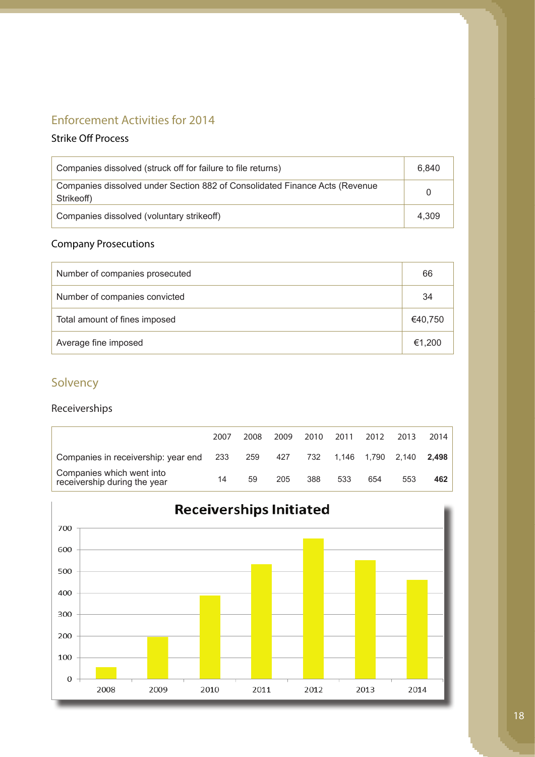# Enforcement Activities for 2014

# Strike Off Process

| Companies dissolved (struck off for failure to file returns)                              | 6.840 |
|-------------------------------------------------------------------------------------------|-------|
| Companies dissolved under Section 882 of Consolidated Finance Acts (Revenue<br>Strikeoff) |       |
| Companies dissolved (voluntary strikeoff)                                                 | 4.309 |

# Company Prosecutions

| Number of companies prosecuted | 66      |
|--------------------------------|---------|
| Number of companies convicted  | 34      |
| Total amount of fines imposed  | €40,750 |
| Average fine imposed           | €1,200  |

# Solvency

## Receiverships

|                                                           | 2007 | 2008 | 2009 |     |     |     | 2010 2011 2012 2013 2014        |     |
|-----------------------------------------------------------|------|------|------|-----|-----|-----|---------------------------------|-----|
| Companies in receivership: year end 233 259               |      |      |      |     |     |     | 427 732 1,146 1,790 2,140 2,498 |     |
| Companies which went into<br>receivership during the year | 14   | 59   | 205  | 388 | 533 | 654 | 553                             | 462 |

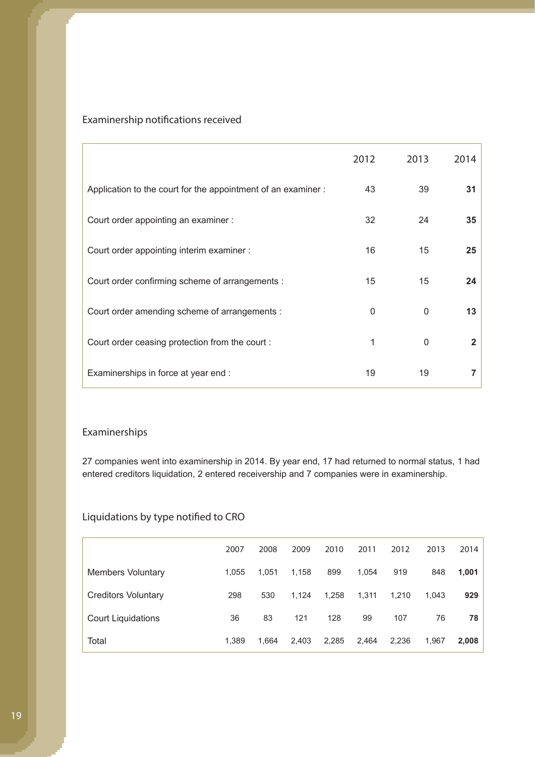# Examinership notifications received

|                                                              | 2012 | 2013 | 2014         |
|--------------------------------------------------------------|------|------|--------------|
| Application to the court for the appointment of an examiner: | 43   | 39   | 31           |
| Court order appointing an examiner :                         | 32   | 24   | 35           |
| Court order appointing interim examiner :                    | 16   | 15   | 25           |
| Court order confirming scheme of arrangements :              | 15   | 15   | 24           |
| Court order amending scheme of arrangements :                | 0    | 0    | 13           |
| Court order ceasing protection from the court:               | 1    | 0    | $\mathbf{2}$ |
| Examinerships in force at year end :                         | 19   | 19   |              |

# Examinerships

27 companies went into examinership in 2014. By year end, 17 had returned to normal status, 1 had entered creditors liquidation, 2 entered receivership and 7 companies were in examinership.

## Liquidations by type notified to CRO

|                            | 2007  | 2008  | 2009  | 2010  | 2011  | 2012  | 2013  | 2014  |
|----------------------------|-------|-------|-------|-------|-------|-------|-------|-------|
| <b>Members Voluntary</b>   | 1.055 | 1.051 | 1,158 | 899   | 1,054 | 919   | 848   | 1,001 |
| <b>Creditors Voluntary</b> | 298   | 530   | 1.124 | 1,258 | 1,311 | 1,210 | 1,043 | 929   |
| <b>Court Liquidations</b>  | 36    | 83    | 121   | 128   | 99    | 107   | 76    | 78    |
| Total                      | 1.389 | 1.664 | 2,403 | 2,285 | 2,464 | 2,236 | 1,967 | 2,008 |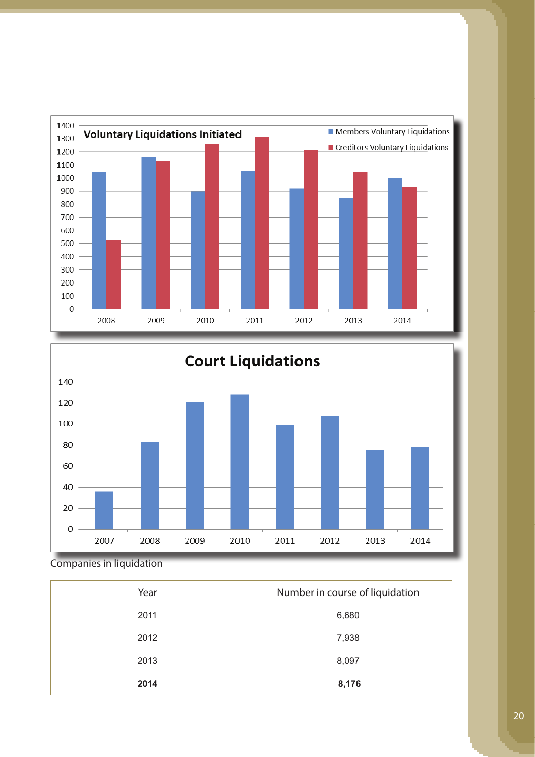



Companies in liquidation

| 2014 | 8,176                           |
|------|---------------------------------|
| 2013 | 8,097                           |
| 2012 | 7,938                           |
| 2011 | 6,680                           |
| Year | Number in course of liquidation |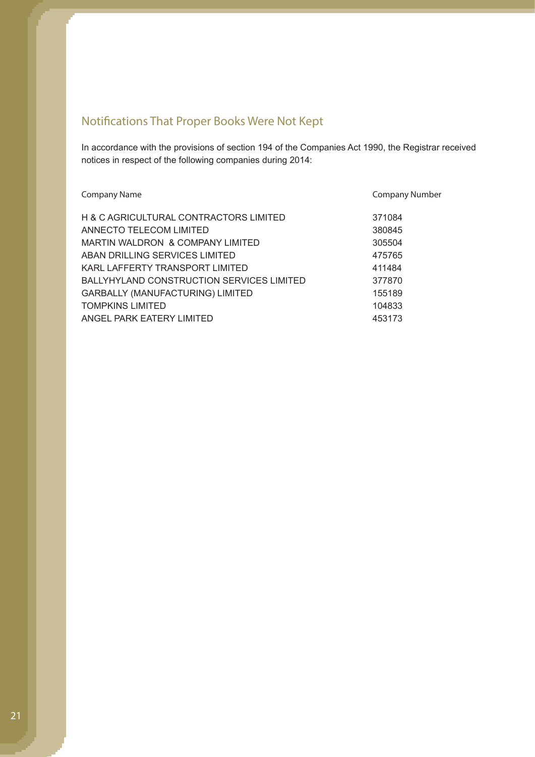# Notifications That Proper Books Were Not Kept

In accordance with the provisions of section 194 of the Companies Act 1990, the Registrar received notices in respect of the following companies during 2014:

| H & C AGRICULTURAL CONTRACTORS LIMITED<br>371084<br>ANNECTO TELECOM LIMITED<br>380845<br>MARTIN WALDRON & COMPANY LIMITED<br>305504<br>ABAN DRILLING SERVICES LIMITED<br>475765 | <b>Company Name</b>             | Company Number |
|---------------------------------------------------------------------------------------------------------------------------------------------------------------------------------|---------------------------------|----------------|
|                                                                                                                                                                                 |                                 |                |
|                                                                                                                                                                                 |                                 |                |
|                                                                                                                                                                                 |                                 |                |
|                                                                                                                                                                                 |                                 |                |
|                                                                                                                                                                                 | KARL LAFFERTY TRANSPORT LIMITED | 411484         |
| <b>BALLYHYLAND CONSTRUCTION SERVICES LIMITED</b><br>377870                                                                                                                      |                                 |                |
| <b>GARBALLY (MANUFACTURING) LIMITED</b><br>155189                                                                                                                               |                                 |                |
| <b>TOMPKINS LIMITED</b><br>104833                                                                                                                                               |                                 |                |
| ANGEL PARK EATERY LIMITED<br>453173                                                                                                                                             |                                 |                |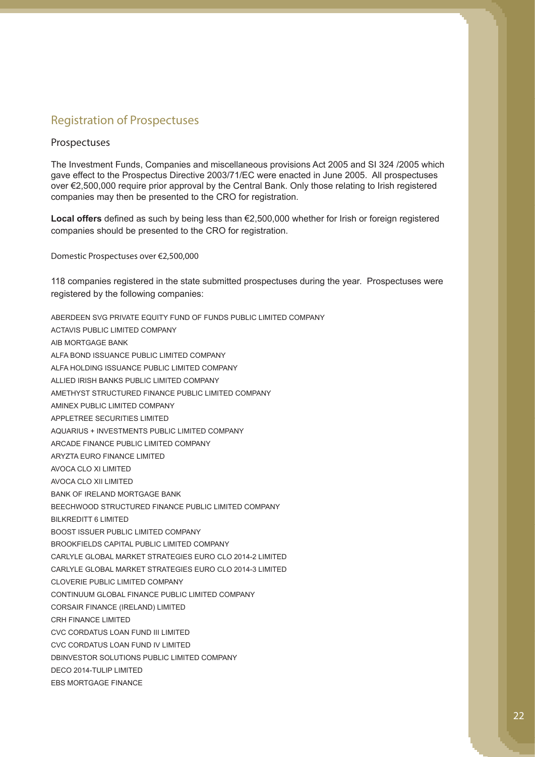# Registration of Prospectuses

#### Prospectuses

The Investment Funds, Companies and miscellaneous provisions Act 2005 and SI 324 /2005 which gave effect to the Prospectus Directive 2003/71/EC were enacted in June 2005. All prospectuses over €2,500,000 require prior approval by the Central Bank. Only those relating to Irish registered companies may then be presented to the CRO for registration.

**Local offers** defined as such by being less than €2,500,000 whether for Irish or foreign registered companies should be presented to the CRO for registration.

Domestic Prospectuses over €2,500,000

118 companies registered in the state submitted prospectuses during the year. Prospectuses were registered by the following companies:

ABERDEEN SVG PRIVATE EQUITY FUND OF FUNDS PUBLIC LIMITED COMPANY ACTAVIS PUBLIC LIMITED COMPANY AIB MORTGAGE BANK ALFA BOND ISSUANCE PUBLIC LIMITED COMPANY ALFA HOLDING ISSUANCE PUBLIC LIMITED COMPANY ALLIED IRISH BANKS PUBLIC LIMITED COMPANY AMETHYST STRUCTURED FINANCE PUBLIC LIMITED COMPANY AMINEX PUBLIC LIMITED COMPANY APPLETREE SECURITIES LIMITED AQUARIUS + INVESTMENTS PUBLIC LIMITED COMPANY ARCADE FINANCE PUBLIC LIMITED COMPANY ARYZTA EURO FINANCE LIMITED AVOCA CLO XI LIMITED AVOCA CLO XII LIMITED BANK OF IRELAND MORTGAGE BANK BEECHWOOD STRUCTURED FINANCE PUBLIC LIMITED COMPANY BILKREDITT 6 LIMITED BOOST ISSUER PUBLIC LIMITED COMPANY BROOKFIELDS CAPITAL PUBLIC LIMITED COMPANY CARLYLE GLOBAL MARKET STRATEGIES EURO CLO 2014-2 LIMITED CARLYLE GLOBAL MARKET STRATEGIES EURO CLO 2014-3 LIMITED CLOVERIE PUBLIC LIMITED COMPANY CONTINUUM GLOBAL FINANCE PUBLIC LIMITED COMPANY CORSAIR FINANCE (IRELAND) LIMITED CRH FINANCE LIMITED CVC CORDATUS LOAN FUND III LIMITED CVC CORDATUS LOAN FUND IV LIMITED DBINVESTOR SOLUTIONS PUBLIC LIMITED COMPANY DECO 2014-TULIP LIMITED EBS MORTGAGE FINANCE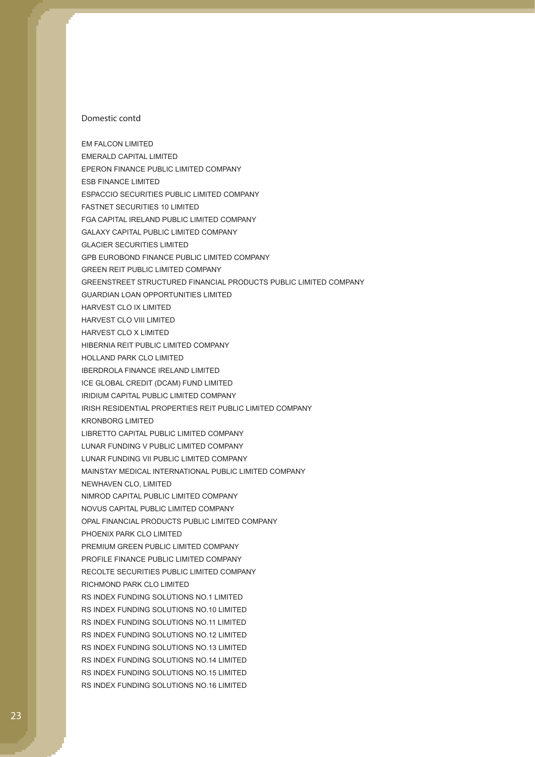#### Domestic contd

EM FALCON LIMITED

- EMERALD CAPITAL LIMITED
- EPERON FINANCE PUBLIC LIMITED COMPANY
- ESB FINANCE LIMITED
- ESPACCIO SECURITIES PUBLIC LIMITED COMPANY
- FASTNET SECURITIES 10 LIMITED
- FGA CAPITAL IRELAND PUBLIC LIMITED COMPANY
- GALAXY CAPITAL PUBLIC LIMITED COMPANY
- GLACIER SECURITIES LIMITED
- GPB EUROBOND FINANCE PUBLIC LIMITED COMPANY
- GREEN REIT PUBLIC LIMITED COMPANY
- GREENSTREET STRUCTURED FINANCIAL PRODUCTS PUBLIC LIMITED COMPANY
- GUARDIAN LOAN OPPORTUNITIES LIMITED
- HARVEST CLO IX LIMITED
- HARVEST CLO VIII LIMITED
- HARVEST CLO X LIMITED
- HIBERNIA REIT PUBLIC LIMITED COMPANY
- HOLLAND PARK CLO LIMITED
- IBERDROLA FINANCE IRELAND LIMITED
- ICE GLOBAL CREDIT (DCAM) FUND LIMITED
- IRIDIUM CAPITAL PUBLIC LIMITED COMPANY
- IRISH RESIDENTIAL PROPERTIES REIT PUBLIC LIMITED COMPANY
- KRONBORG LIMITED
- LIBRETTO CAPITAL PUBLIC LIMITED COMPANY
- LUNAR FUNDING V PUBLIC LIMITED COMPANY
- LUNAR FUNDING VII PUBLIC LIMITED COMPANY
- MAINSTAY MEDICAL INTERNATIONAL PUBLIC LIMITED COMPANY
- NEWHAVEN CLO, LIMITED
- NIMROD CAPITAL PUBLIC LIMITED COMPANY
- NOVUS CAPITAL PUBLIC LIMITED COMPANY
- OPAL FINANCIAL PRODUCTS PUBLIC LIMITED COMPANY
- PHOENIX PARK CLO LIMITED
- PREMIUM GREEN PUBLIC LIMITED COMPANY
- PROFILE FINANCE PUBLIC LIMITED COMPANY
- RECOLTE SECURITIES PUBLIC LIMITED COMPANY
- RICHMOND PARK CLO LIMITED
- RS INDEX FUNDING SOLUTIONS NO.1 LIMITED
- RS INDEX FUNDING SOLUTIONS NO.10 LIMITED
- RS INDEX FUNDING SOLUTIONS NO.11 LIMITED
- RS INDEX FUNDING SOLUTIONS NO.12 LIMITED
- RS INDEX FUNDING SOLUTIONS NO.13 LIMITED
- RS INDEX FUNDING SOLUTIONS NO.14 LIMITED
- RS INDEX FUNDING SOLUTIONS NO.15 LIMITED
- RS INDEX FUNDING SOLUTIONS NO.16 LIMITED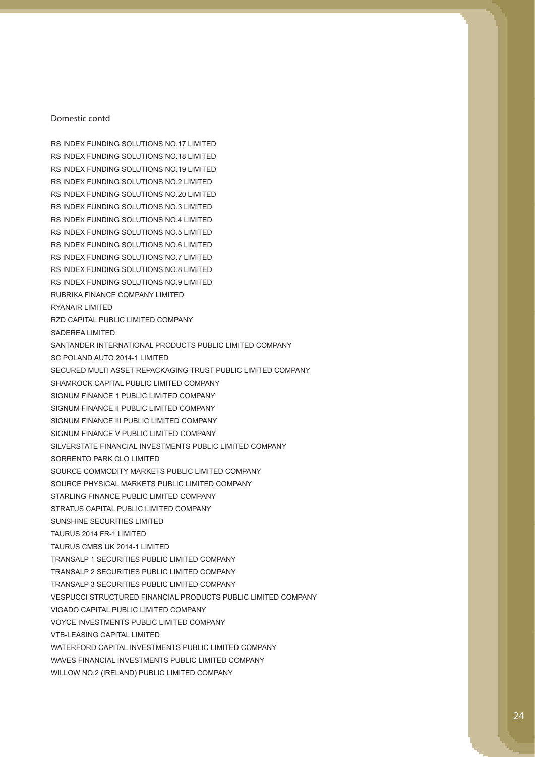#### Domestic contd

RS INDEX FUNDING SOLUTIONS NO.17 LIMITED RS INDEX FUNDING SOLUTIONS NO.18 LIMITED RS INDEX FUNDING SOLUTIONS NO.19 LIMITED RS INDEX FUNDING SOLUTIONS NO.2 LIMITED RS INDEX FUNDING SOLUTIONS NO.20 LIMITED RS INDEX FUNDING SOLUTIONS NO.3 LIMITED RS INDEX FUNDING SOLUTIONS NO.4 LIMITED RS INDEX FUNDING SOLUTIONS NO.5 LIMITED RS INDEX FUNDING SOLUTIONS NO.6 LIMITED RS INDEX FUNDING SOLUTIONS NO.7 LIMITED RS INDEX FUNDING SOLUTIONS NO.8 LIMITED RS INDEX FUNDING SOLUTIONS NO.9 LIMITED RUBRIKA FINANCE COMPANY LIMITED RYANAIR LIMITED RZD CAPITAL PUBLIC LIMITED COMPANY SADEREA LIMITED SANTANDER INTERNATIONAL PRODUCTS PUBLIC LIMITED COMPANY SC POLAND AUTO 2014-1 LIMITED SECURED MULTI ASSET REPACKAGING TRUST PUBLIC LIMITED COMPANY SHAMROCK CAPITAL PUBLIC LIMITED COMPANY SIGNUM FINANCE 1 PUBLIC LIMITED COMPANY SIGNUM FINANCE II PUBLIC LIMITED COMPANY SIGNUM FINANCE III PUBLIC LIMITED COMPANY SIGNUM FINANCE V PUBLIC LIMITED COMPANY SILVERSTATE FINANCIAL INVESTMENTS PUBLIC LIMITED COMPANY SORRENTO PARK CLO LIMITED SOURCE COMMODITY MARKETS PUBLIC LIMITED COMPANY SOURCE PHYSICAL MARKETS PUBLIC LIMITED COMPANY STARLING FINANCE PUBLIC LIMITED COMPANY STRATUS CAPITAL PUBLIC LIMITED COMPANY SUNSHINE SECURITIES LIMITED TAURUS 2014 FR-1 LIMITED TAURUS CMBS UK 2014-1 LIMITED TRANSALP 1 SECURITIES PUBLIC LIMITED COMPANY TRANSALP 2 SECURITIES PUBLIC LIMITED COMPANY TRANSALP 3 SECURITIES PUBLIC LIMITED COMPANY VESPUCCI STRUCTURED FINANCIAL PRODUCTS PUBLIC LIMITED COMPANY VIGADO CAPITAL PUBLIC LIMITED COMPANY VOYCE INVESTMENTS PUBLIC LIMITED COMPANY VTB-LEASING CAPITAL LIMITED WATERFORD CAPITAL INVESTMENTS PUBLIC LIMITED COMPANY WAVES FINANCIAL INVESTMENTS PUBLIC LIMITED COMPANY WILLOW NO.2 (IRELAND) PUBLIC LIMITED COMPANY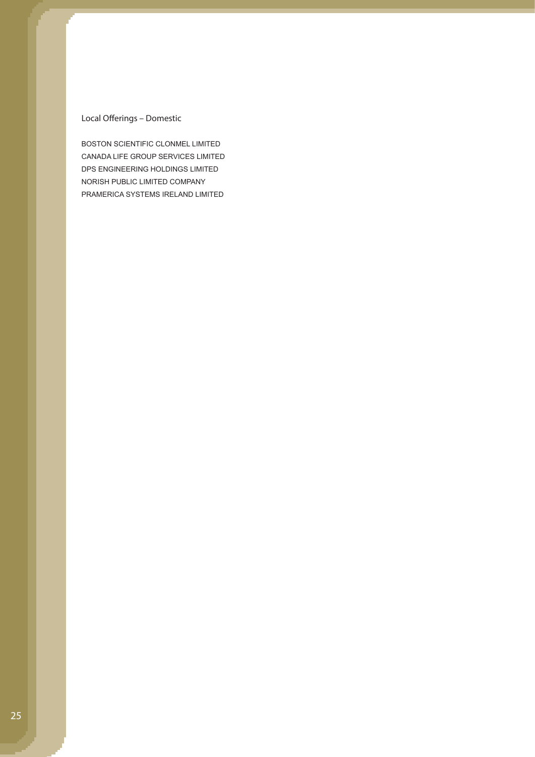## Local Offerings – Domestic

BOSTON SCIENTIFIC CLONMEL LIMITED CANADA LIFE GROUP SERVICES LIMITED DPS ENGINEERING HOLDINGS LIMITED NORISH PUBLIC LIMITED COMPANY PRAMERICA SYSTEMS IRELAND LIMITED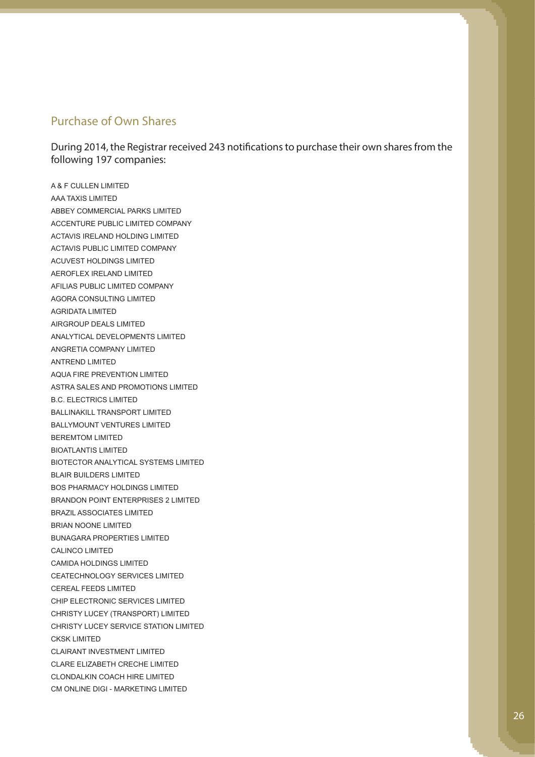## Purchase of Own Shares

During 2014, the Registrar received 243 notifications to purchase their own shares from the following 197 companies:

A & F CULLEN LIMITED AAA TAXIS LIMITED ABBEY COMMERCIAL PARKS LIMITED ACCENTURE PUBLIC LIMITED COMPANY ACTAVIS IRELAND HOLDING LIMITED ACTAVIS PUBLIC LIMITED COMPANY ACUVEST HOLDINGS LIMITED AEROFLEX IRELAND LIMITED AFILIAS PUBLIC LIMITED COMPANY AGORA CONSULTING LIMITED AGRIDATA LIMITED AIRGROUP DEALS LIMITED ANALYTICAL DEVELOPMENTS LIMITED ANGRETIA COMPANY LIMITED ANTREND LIMITED AQUA FIRE PREVENTION LIMITED ASTRA SALES AND PROMOTIONS LIMITED B.C. ELECTRICS LIMITED BALLINAKILL TRANSPORT LIMITED BALLYMOUNT VENTURES LIMITED BEREMTOM LIMITED BIOATLANTIS LIMITED BIOTECTOR ANALYTICAL SYSTEMS LIMITED BLAIR BUILDERS LIMITED BOS PHARMACY HOLDINGS LIMITED BRANDON POINT ENTERPRISES 2 LIMITED BRAZIL ASSOCIATES LIMITED BRIAN NOONE LIMITED BUNAGARA PROPERTIES LIMITED CALINCO LIMITED CAMIDA HOLDINGS LIMITED CEATECHNOLOGY SERVICES LIMITED CEREAL FEEDS LIMITED CHIP ELECTRONIC SERVICES LIMITED CHRISTY LUCEY (TRANSPORT) LIMITED CHRISTY LUCEY SERVICE STATION LIMITED CKSK LIMITED CLAIRANT INVESTMENT LIMITED CLARE ELIZABETH CRECHE LIMITED CLONDALKIN COACH HIRE LIMITED CM ONLINE DIGI - MARKETING LIMITED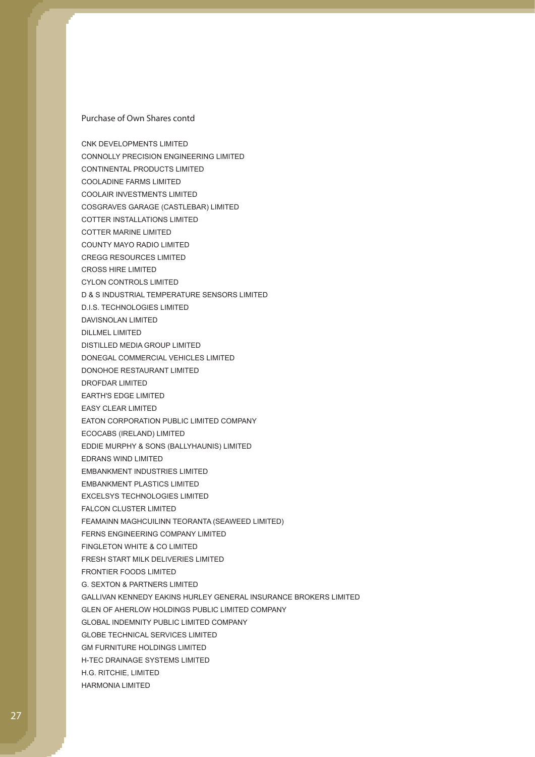CNK DEVELOPMENTS LIMITED CONNOLLY PRECISION ENGINEERING LIMITED CONTINENTAL PRODUCTS LIMITED COOLADINE FARMS LIMITED COOLAIR INVESTMENTS LIMITED COSGRAVES GARAGE (CASTLEBAR) LIMITED COTTER INSTALLATIONS LIMITED COTTER MARINE LIMITED COUNTY MAYO RADIO LIMITED CREGG RESOURCES LIMITED CROSS HIRE LIMITED CYLON CONTROLS LIMITED D & S INDUSTRIAL TEMPERATURE SENSORS LIMITED D.I.S. TECHNOLOGIES LIMITED DAVISNOLAN LIMITED DILLMEL LIMITED DISTILLED MEDIA GROUP LIMITED DONEGAL COMMERCIAL VEHICLES LIMITED DONOHOE RESTAURANT LIMITED DROFDAR LIMITED EARTH'S EDGE LIMITED EASY CLEAR LIMITED EATON CORPORATION PUBLIC LIMITED COMPANY ECOCABS (IRELAND) LIMITED EDDIE MURPHY & SONS (BALLYHAUNIS) LIMITED EDRANS WIND LIMITED EMBANKMENT INDUSTRIES LIMITED EMBANKMENT PLASTICS LIMITED EXCELSYS TECHNOLOGIES LIMITED FALCON CLUSTER LIMITED FEAMAINN MAGHCUILINN TEORANTA (SEAWEED LIMITED) FERNS ENGINEERING COMPANY LIMITED FINGLETON WHITE & CO LIMITED FRESH START MILK DELIVERIES LIMITED FRONTIER FOODS LIMITED G. SEXTON & PARTNERS LIMITED GALLIVAN KENNEDY EAKINS HURLEY GENERAL INSURANCE BROKERS LIMITED GLEN OF AHERLOW HOLDINGS PUBLIC LIMITED COMPANY GLOBAL INDEMNITY PUBLIC LIMITED COMPANY GLOBE TECHNICAL SERVICES LIMITED GM FURNITURE HOLDINGS LIMITED H-TEC DRAINAGE SYSTEMS LIMITED H.G. RITCHIE, LIMITED HARMONIA LIMITED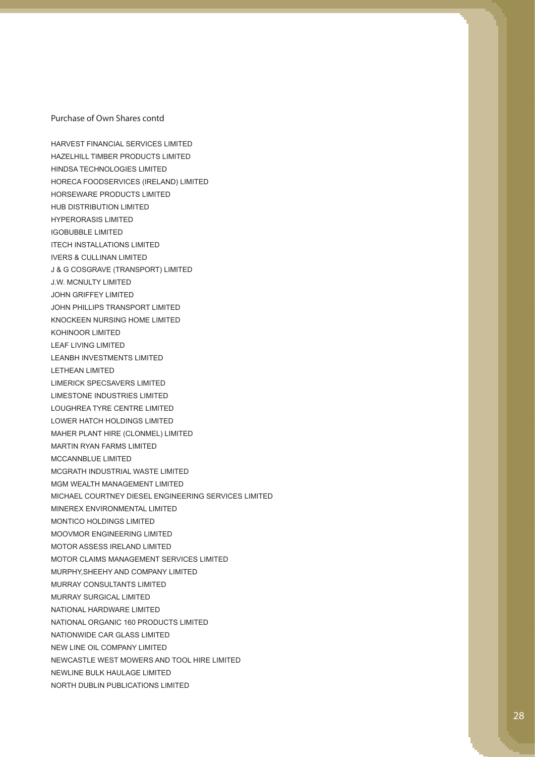HARVEST FINANCIAL SERVICES LIMITED HAZELHILL TIMBER PRODUCTS LIMITED HINDSA TECHNOLOGIES LIMITED HORECA FOODSERVICES (IRELAND) LIMITED HORSEWARE PRODUCTS LIMITED HUB DISTRIBUTION LIMITED HYPERORASIS LIMITED IGOBUBBLE LIMITED ITECH INSTALLATIONS LIMITED IVERS & CULLINAN LIMITED J & G COSGRAVE (TRANSPORT) LIMITED J.W. MCNULTY LIMITED JOHN GRIFFEY LIMITED JOHN PHILLIPS TRANSPORT LIMITED KNOCKEEN NURSING HOME LIMITED KOHINOOR LIMITED LEAF LIVING LIMITED LEANBH INVESTMENTS LIMITED LETHEAN LIMITED LIMERICK SPECSAVERS LIMITED LIMESTONE INDUSTRIES LIMITED LOUGHREA TYRE CENTRE LIMITED LOWER HATCH HOLDINGS LIMITED MAHER PLANT HIRE (CLONMEL) LIMITED MARTIN RYAN FARMS LIMITED MCCANNBLUE LIMITED MCGRATH INDUSTRIAL WASTE LIMITED MGM WEALTH MANAGEMENT LIMITED MICHAEL COURTNEY DIESEL ENGINEERING SERVICES LIMITED MINEREX ENVIRONMENTAL LIMITED MONTICO HOLDINGS LIMITED MOOVMOR ENGINEERING LIMITED MOTOR ASSESS IRELAND LIMITED MOTOR CLAIMS MANAGEMENT SERVICES LIMITED MURPHY,SHEEHY AND COMPANY LIMITED MURRAY CONSULTANTS LIMITED MURRAY SURGICAL LIMITED NATIONAL HARDWARE LIMITED NATIONAL ORGANIC 160 PRODUCTS LIMITED NATIONWIDE CAR GLASS LIMITED NEW LINE OIL COMPANY LIMITED NEWCASTLE WEST MOWERS AND TOOL HIRE LIMITED NEWLINE BULK HAULAGE LIMITED NORTH DUBLIN PUBLICATIONS LIMITED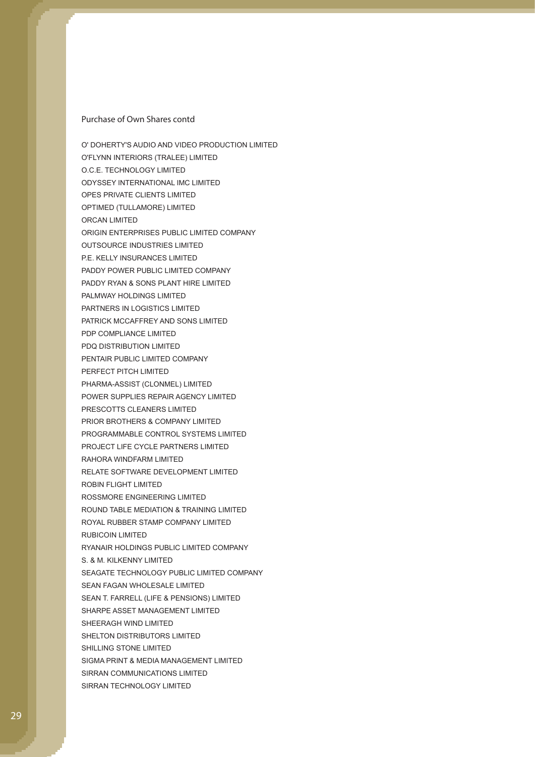O' DOHERTY'S AUDIO AND VIDEO PRODUCTION LIMITED O'FLYNN INTERIORS (TRALEE) LIMITED O.C.E. TECHNOLOGY LIMITED ODYSSEY INTERNATIONAL IMC LIMITED OPES PRIVATE CLIENTS LIMITED OPTIMED (TULLAMORE) LIMITED ORCAN LIMITED ORIGIN ENTERPRISES PUBLIC LIMITED COMPANY OUTSOURCE INDUSTRIES LIMITED P.E. KELLY INSURANCES LIMITED PADDY POWER PUBLIC LIMITED COMPANY PADDY RYAN & SONS PLANT HIRE LIMITED PALMWAY HOLDINGS LIMITED PARTNERS IN LOGISTICS LIMITED PATRICK MCCAFFREY AND SONS LIMITED PDP COMPLIANCE LIMITED PDQ DISTRIBUTION LIMITED PENTAIR PUBLIC LIMITED COMPANY PERFECT PITCH LIMITED PHARMA-ASSIST (CLONMEL) LIMITED POWER SUPPLIES REPAIR AGENCY LIMITED PRESCOTTS CLEANERS LIMITED PRIOR BROTHERS & COMPANY LIMITED PROGRAMMABLE CONTROL SYSTEMS LIMITED PROJECT LIFE CYCLE PARTNERS LIMITED RAHORA WINDFARM LIMITED RELATE SOFTWARE DEVELOPMENT LIMITED ROBIN FLIGHT LIMITED ROSSMORE ENGINEERING LIMITED ROUND TABLE MEDIATION & TRAINING LIMITED ROYAL RUBBER STAMP COMPANY LIMITED RUBICOIN LIMITED RYANAIR HOLDINGS PUBLIC LIMITED COMPANY S. & M. KILKENNY LIMITED SEAGATE TECHNOLOGY PUBLIC LIMITED COMPANY SEAN FAGAN WHOLESALE LIMITED SEAN T. FARRELL (LIFE & PENSIONS) LIMITED SHARPE ASSET MANAGEMENT LIMITED SHEERAGH WIND LIMITED SHELTON DISTRIBUTORS LIMITED SHILLING STONE LIMITED SIGMA PRINT & MEDIA MANAGEMENT LIMITED SIRRAN COMMUNICATIONS LIMITED SIRRAN TECHNOLOGY LIMITED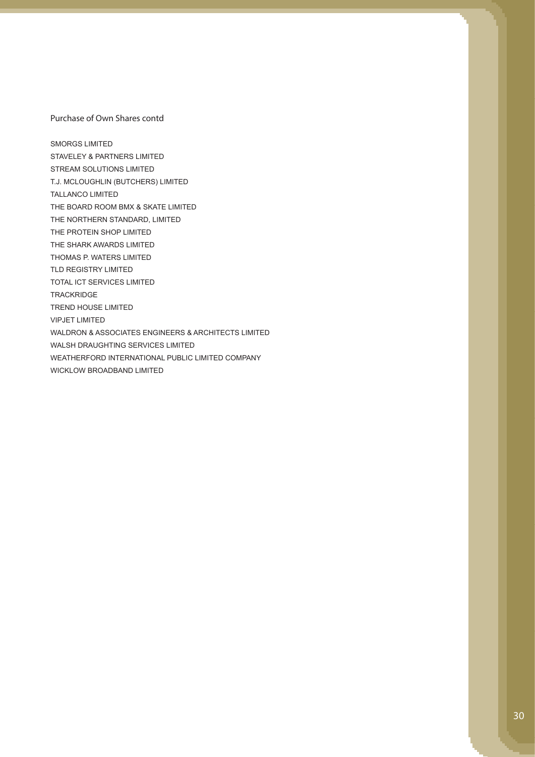SMORGS LIMITED STAVELEY & PARTNERS LIMITED STREAM SOLUTIONS LIMITED T.J. MCLOUGHLIN (BUTCHERS) LIMITED TALLANCO LIMITED THE BOARD ROOM BMX & SKATE LIMITED THE NORTHERN STANDARD, LIMITED THE PROTEIN SHOP LIMITED THE SHARK AWARDS LIMITED THOMAS P. WATERS LIMITED TLD REGISTRY LIMITED TOTAL ICT SERVICES LIMITED TRACKRIDGE TREND HOUSE LIMITED VIPJET LIMITED WALDRON & ASSOCIATES ENGINEERS & ARCHITECTS LIMITED WALSH DRAUGHTING SERVICES LIMITED WEATHERFORD INTERNATIONAL PUBLIC LIMITED COMPANY WICKLOW BROADBAND LIMITED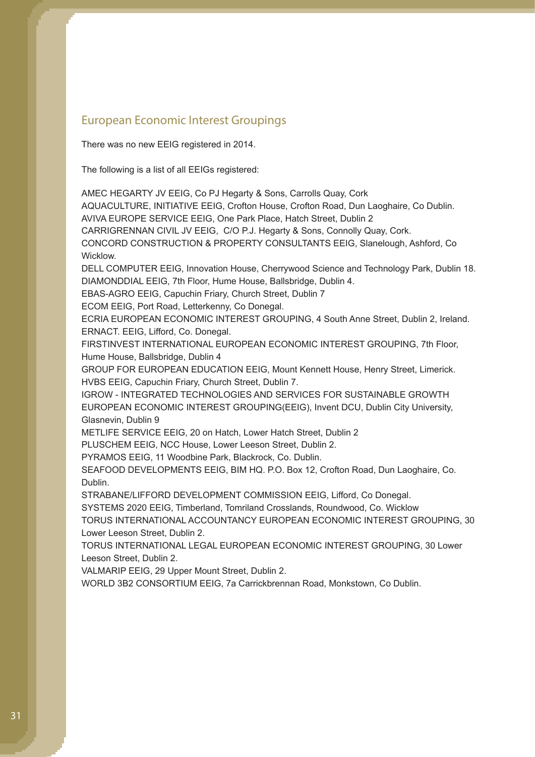# European Economic Interest Groupings

There was no new EEIG registered in 2014.

The following is a list of all EEIGs registered:

AMEC HEGARTY JV EEIG, Co PJ Hegarty & Sons, Carrolls Quay, Cork

AQUACULTURE, INITIATIVE EEIG, Crofton House, Crofton Road, Dun Laoghaire, Co Dublin.

AVIVA EUROPE SERVICE EEIG, One Park Place, Hatch Street, Dublin 2

CARRIGRENNAN CIVIL JV EEIG, C/O P.J. Hegarty & Sons, Connolly Quay, Cork.

CONCORD CONSTRUCTION & PROPERTY CONSULTANTS EEIG, Slanelough, Ashford, Co Wicklow.

DELL COMPUTER EEIG, Innovation House, Cherrywood Science and Technology Park, Dublin 18. DIAMONDDIAL EEIG, 7th Floor, Hume House, Ballsbridge, Dublin 4.

EBAS-AGRO EEIG, Capuchin Friary, Church Street, Dublin 7

ECOM EEIG, Port Road, Letterkenny, Co Donegal.

ECRIA EUROPEAN ECONOMIC INTEREST GROUPING, 4 South Anne Street, Dublin 2, Ireland. ERNACT. EEIG, Lifford, Co. Donegal.

FIRSTINVEST INTERNATIONAL EUROPEAN ECONOMIC INTEREST GROUPING, 7th Floor, Hume House, Ballsbridge, Dublin 4

GROUP FOR EUROPEAN EDUCATION EEIG, Mount Kennett House, Henry Street, Limerick. HVBS EEIG, Capuchin Friary, Church Street, Dublin 7.

IGROW - INTEGRATED TECHNOLOGIES AND SERVICES FOR SUSTAINABLE GROWTH EUROPEAN ECONOMIC INTEREST GROUPING(EEIG), Invent DCU, Dublin City University, Glasnevin, Dublin 9

METLIFE SERVICE EEIG, 20 on Hatch, Lower Hatch Street, Dublin 2

PLUSCHEM EEIG, NCC House, Lower Leeson Street, Dublin 2.

PYRAMOS EEIG, 11 Woodbine Park, Blackrock, Co. Dublin.

SEAFOOD DEVELOPMENTS EEIG, BIM HQ. P.O. Box 12, Crofton Road, Dun Laoghaire, Co. Dublin.

STRABANE/LIFFORD DEVELOPMENT COMMISSION EEIG, Lifford, Co Donegal.

SYSTEMS 2020 EEIG, Timberland, Tomriland Crosslands, Roundwood, Co. Wicklow

TORUS INTERNATIONAL ACCOUNTANCY EUROPEAN ECONOMIC INTEREST GROUPING, 30 Lower Leeson Street, Dublin 2.

TORUS INTERNATIONAL LEGAL EUROPEAN ECONOMIC INTEREST GROUPING, 30 Lower Leeson Street, Dublin 2.

VALMARIP EEIG, 29 Upper Mount Street, Dublin 2.

WORLD 3B2 CONSORTIUM EEIG, 7a Carrickbrennan Road, Monkstown, Co Dublin.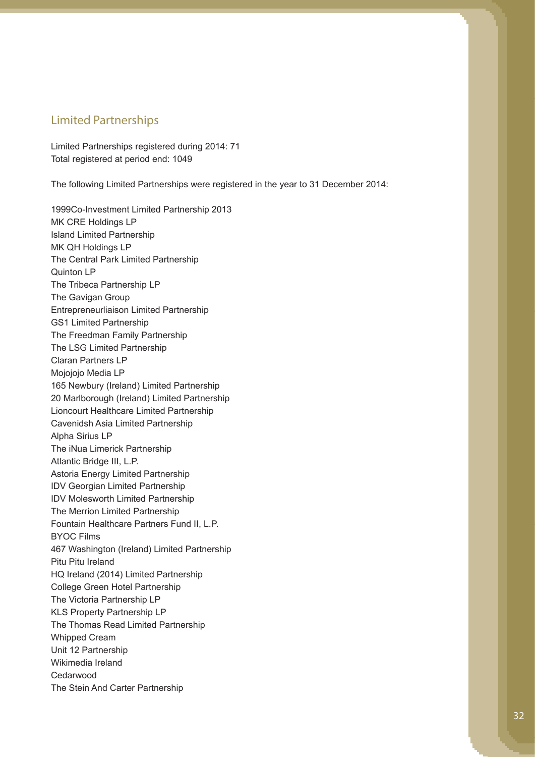# Limited Partnerships

Limited Partnerships registered during 2014: 71 Total registered at period end: 1049

The following Limited Partnerships were registered in the year to 31 December 2014:

1999Co-Investment Limited Partnership 2013 MK CRE Holdings LP Island Limited Partnership MK QH Holdings LP The Central Park Limited Partnership Quinton LP The Tribeca Partnership LP The Gavigan Group Entrepreneurliaison Limited Partnership GS1 Limited Partnership The Freedman Family Partnership The LSG Limited Partnership Claran Partners LP Mojojojo Media LP 165 Newbury (Ireland) Limited Partnership 20 Marlborough (Ireland) Limited Partnership Lioncourt Healthcare Limited Partnership Cavenidsh Asia Limited Partnership Alpha Sirius LP The iNua Limerick Partnership Atlantic Bridge III, L.P. Astoria Energy Limited Partnership IDV Georgian Limited Partnership IDV Molesworth Limited Partnership The Merrion Limited Partnership Fountain Healthcare Partners Fund II, L.P. BYOC Films 467 Washington (Ireland) Limited Partnership Pitu Pitu Ireland HQ Ireland (2014) Limited Partnership College Green Hotel Partnership The Victoria Partnership LP KLS Property Partnership LP The Thomas Read Limited Partnership Whipped Cream Unit 12 Partnership Wikimedia Ireland Cedarwood The Stein And Carter Partnership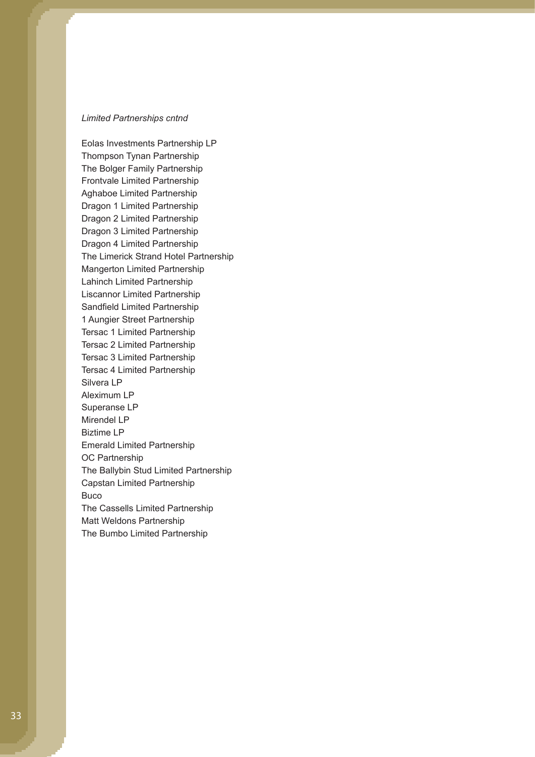#### *Limited Partnerships cntnd*

Eolas Investments Partnership LP Thompson Tynan Partnership The Bolger Family Partnership Frontvale Limited Partnership Aghaboe Limited Partnership Dragon 1 Limited Partnership Dragon 2 Limited Partnership Dragon 3 Limited Partnership Dragon 4 Limited Partnership The Limerick Strand Hotel Partnership Mangerton Limited Partnership Lahinch Limited Partnership Liscannor Limited Partnership Sandfield Limited Partnership 1 Aungier Street Partnership Tersac 1 Limited Partnership Tersac 2 Limited Partnership Tersac 3 Limited Partnership Tersac 4 Limited Partnership Silvera LP Aleximum LP Superanse LP Mirendel I P Biztime LP Emerald Limited Partnership OC Partnership The Ballybin Stud Limited Partnership Capstan Limited Partnership Buco The Cassells Limited Partnership Matt Weldons Partnership The Bumbo Limited Partnership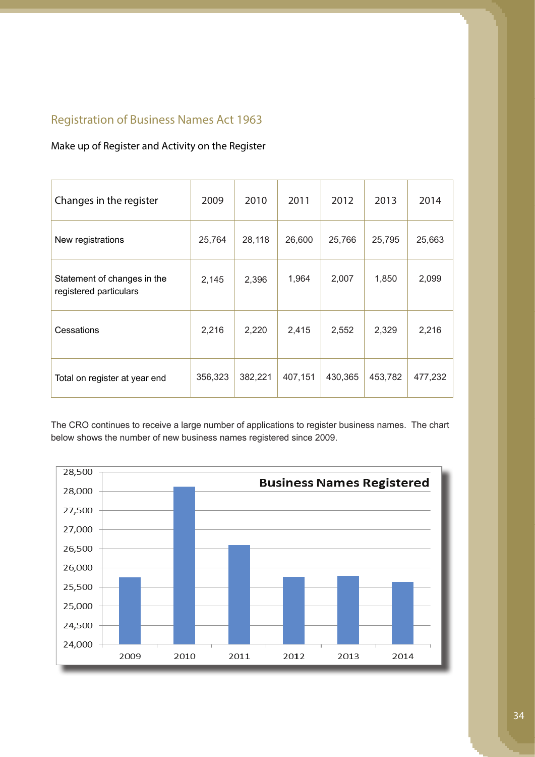# Registration of Business Names Act 1963

## Make up of Register and Activity on the Register

| Changes in the register                               | 2009    | 2010    | 2011    | 2012    | 2013    | 2014    |
|-------------------------------------------------------|---------|---------|---------|---------|---------|---------|
| New registrations                                     | 25,764  | 28,118  | 26,600  | 25,766  | 25,795  | 25,663  |
| Statement of changes in the<br>registered particulars | 2,145   | 2,396   | 1,964   | 2,007   | 1,850   | 2,099   |
| Cessations                                            | 2,216   | 2,220   | 2,415   | 2,552   | 2,329   | 2,216   |
| Total on register at year end                         | 356,323 | 382,221 | 407,151 | 430,365 | 453,782 | 477,232 |

The CRO continues to receive a large number of applications to register business names. The chart below shows the number of new business names registered since 2009.

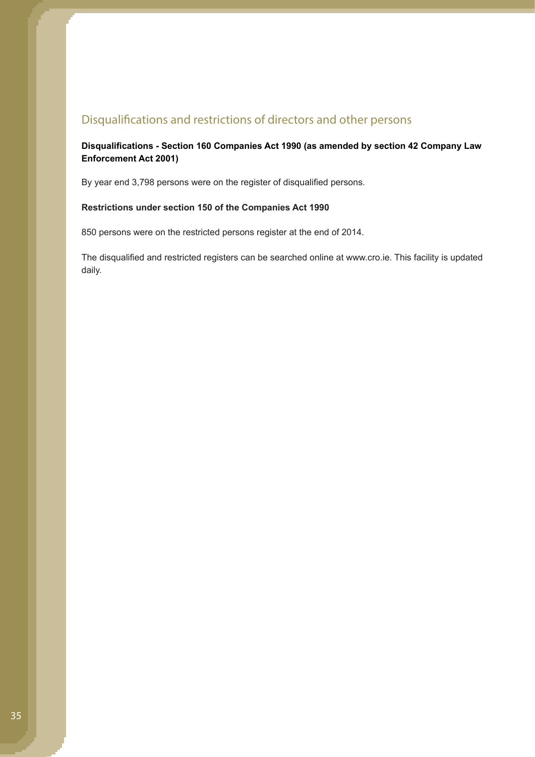# Disqualifications and restrictions of directors and other persons

### **Disqualifications - Section 160 Companies Act 1990 (as amended by section 42 Company Law Enforcement Act 2001)**

By year end 3,798 persons were on the register of disqualified persons.

#### **Restrictions under section 150 of the Companies Act 1990**

850 persons were on the restricted persons register at the end of 2014.

The disqualified and restricted registers can be searched online at www.cro.ie. This facility is updated daily.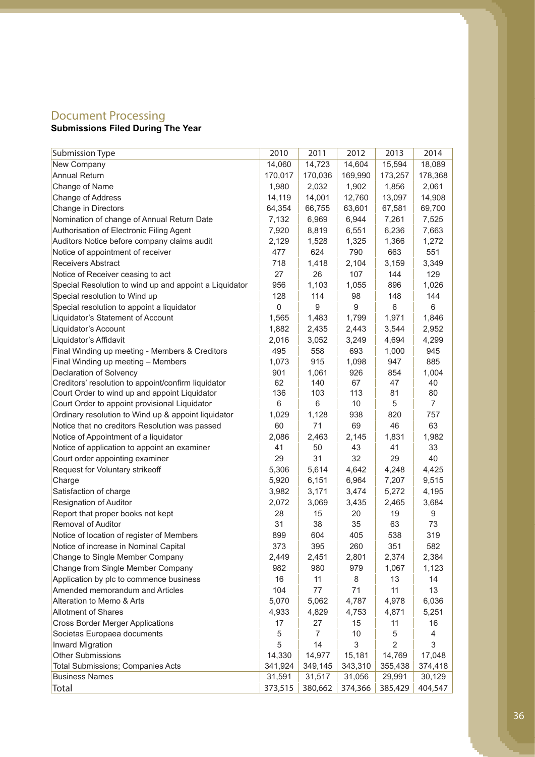## Document Processing **Submissions Filed During The Year**

| Submission Type                                        | 2010    | 2011           | 2012    | 2013    | 2014           |
|--------------------------------------------------------|---------|----------------|---------|---------|----------------|
| New Company                                            | 14,060  | 14,723         | 14,604  | 15,594  | 18,089         |
| <b>Annual Return</b>                                   | 170,017 | 170,036        | 169,990 | 173,257 | 178,368        |
| Change of Name                                         | 1,980   | 2,032          | 1,902   | 1,856   | 2,061          |
| Change of Address                                      | 14,119  | 14,001         | 12,760  | 13,097  | 14,908         |
| Change in Directors                                    | 64,354  | 66,755         | 63,601  | 67,581  | 69,700         |
| Nomination of change of Annual Return Date             | 7,132   | 6,969          | 6,944   | 7,261   | 7,525          |
| Authorisation of Electronic Filing Agent               | 7,920   | 8,819          | 6,551   | 6,236   | 7,663          |
| Auditors Notice before company claims audit            | 2,129   | 1,528          | 1,325   | 1,366   | 1,272          |
| Notice of appointment of receiver                      | 477     | 624            | 790     | 663     | 551            |
| <b>Receivers Abstract</b>                              | 718     | 1,418          | 2,104   | 3,159   | 3,349          |
| Notice of Receiver ceasing to act                      | 27      | 26             | 107     | 144     | 129            |
| Special Resolution to wind up and appoint a Liquidator | 956     | 1,103          | 1,055   | 896     | 1,026          |
| Special resolution to Wind up                          | 128     | 114            | 98      | 148     | 144            |
| Special resolution to appoint a liquidator             | 0       | 9              | 9       | 6       | 6              |
| Liquidator's Statement of Account                      | 1,565   | 1,483          | 1,799   | 1,971   | 1,846          |
| Liquidator's Account                                   | 1,882   | 2,435          | 2,443   | 3,544   | 2,952          |
| Liquidator's Affidavit                                 | 2,016   | 3,052          | 3,249   | 4,694   | 4,299          |
| Final Winding up meeting - Members & Creditors         | 495     | 558            | 693     | 1,000   | 945            |
| Final Winding up meeting - Members                     | 1,073   | 915            | 1,098   | 947     | 885            |
| Declaration of Solvency                                | 901     | 1,061          | 926     | 854     | 1,004          |
| Creditors' resolution to appoint/confirm liquidator    | 62      | 140            | 67      | 47      | 40             |
| Court Order to wind up and appoint Liquidator          | 136     | 103            | 113     | 81      | 80             |
| Court Order to appoint provisional Liquidator          | 6       | 6              | 10      | 5       | $\overline{7}$ |
| Ordinary resolution to Wind up & appoint liquidator    | 1,029   | 1,128          | 938     | 820     | 757            |
| Notice that no creditors Resolution was passed         | 60      | 71             | 69      | 46      | 63             |
| Notice of Appointment of a liquidator                  | 2,086   | 2,463          | 2,145   | 1,831   | 1,982          |
| Notice of application to appoint an examiner           | 41      | 50             | 43      | 41      | 33             |
| Court order appointing examiner                        | 29      | 31             | 32      | 29      | 40             |
| Request for Voluntary strikeoff                        | 5,306   | 5,614          | 4,642   | 4,248   | 4,425          |
| Charge                                                 | 5,920   | 6,151          | 6,964   | 7,207   | 9,515          |
| Satisfaction of charge                                 | 3,982   | 3,171          | 3,474   | 5,272   | 4,195          |
| Resignation of Auditor                                 | 2,072   | 3,069          | 3,435   | 2,465   | 3,684          |
| Report that proper books not kept                      | 28      | 15             | 20      | 19      | 9              |
| <b>Removal of Auditor</b>                              | 31      | 38             | 35      | 63      | 73             |
| Notice of location of register of Members              | 899     | 604            | 405     | 538     | 319            |
| Notice of increase in Nominal Capital                  | 373     | 395            | 260     | 351     | 582            |
| Change to Single Member Company                        | 2,449   | 2,451          | 2,801   | 2,374   | 2,384          |
| Change from Single Member Company                      | 982     | 980            | 979     | 1,067   | 1,123          |
| Application by plc to commence business                | 16      | 11             | 8       | 13      | 14             |
| Amended memorandum and Articles                        | 104     | 77             | 71      | 11      | 13             |
| Alteration to Memo & Arts                              | 5,070   | 5,062          | 4,787   | 4,978   | 6,036          |
| Allotment of Shares                                    | 4,933   | 4,829          | 4,753   | 4,871   | 5,251          |
| <b>Cross Border Merger Applications</b>                | 17      | 27             | 15      | 11      | 16             |
| Societas Europaea documents                            | 5       | $\overline{7}$ | 10      | 5       | 4              |
| Inward Migration                                       | 5       | 14             | 3       | 2       | 3              |
| Other Submissions                                      | 14,330  | 14,977         | 15,181  | 14,769  | 17,048         |
| Total Submissions; Companies Acts                      | 341,924 | 349,145        | 343,310 | 355,438 | 374,418        |
| <b>Business Names</b>                                  | 31,591  | 31,517         | 31,056  | 29,991  | 30,129         |
| Total                                                  | 373,515 | 380,662        | 374,366 | 385,429 | 404,547        |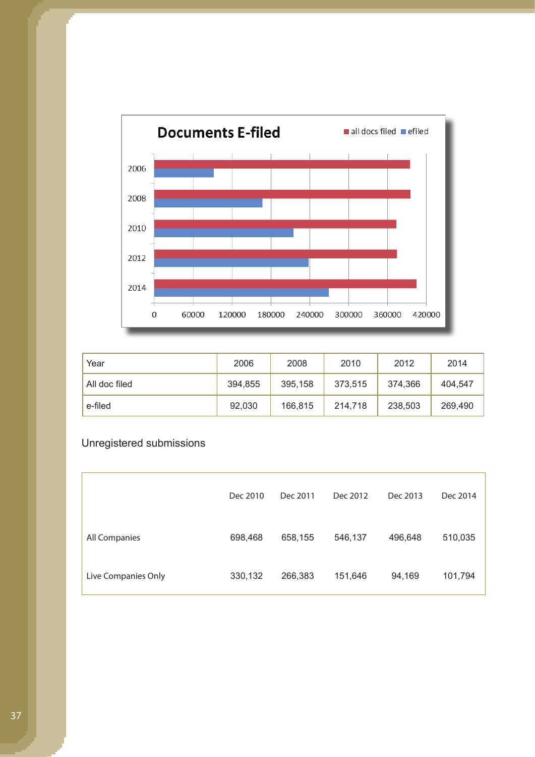

| Year          | 2006    | 2008    | 2010    | 2012    | 2014    |
|---------------|---------|---------|---------|---------|---------|
| All doc filed | 394,855 | 395,158 | 373,515 | 374,366 | 404,547 |
| e-filed       | 92,030  | 166,815 | 214,718 | 238,503 | 269,490 |

# Unregistered submissions

|                     | Dec 2010 | Dec 2011 | Dec 2012 | Dec 2013 | Dec 2014 |
|---------------------|----------|----------|----------|----------|----------|
| All Companies       | 698,468  | 658,155  | 546,137  | 496,648  | 510,035  |
| Live Companies Only | 330,132  | 266,383  | 151,646  | 94,169   | 101,794  |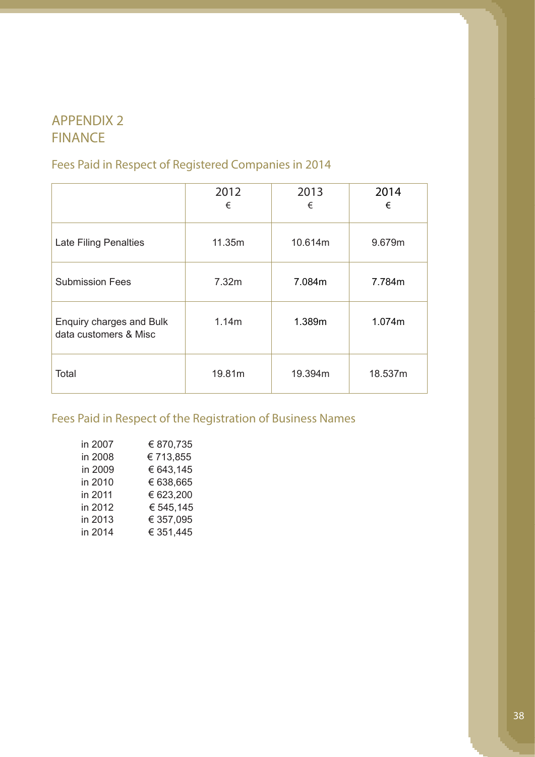# APPENDIX 2 FINANCE

# Fees Paid in Respect of Registered Companies in 2014

|                                                   | 2012<br>€ | 2013<br>€ | 2014<br>€ |
|---------------------------------------------------|-----------|-----------|-----------|
| Late Filing Penalties                             | 11.35m    | 10.614m   | 9.679m    |
| <b>Submission Fees</b>                            | 7.32m     | 7.084m    | 7.784m    |
| Enquiry charges and Bulk<br>data customers & Misc | 1.14m     | 1.389m    | 1.074m    |
| Total                                             | 19.81m    | 19.394m   | 18.537m   |

# Fees Paid in Respect of the Registration of Business Names

| in 2007 | € 870,735 |
|---------|-----------|
| in 2008 | €713,855  |
| in 2009 | € 643,145 |
| in 2010 | € 638,665 |
| in 2011 | € 623,200 |
| in 2012 | € 545,145 |
| in 2013 | € 357,095 |
| in 2014 | € 351,445 |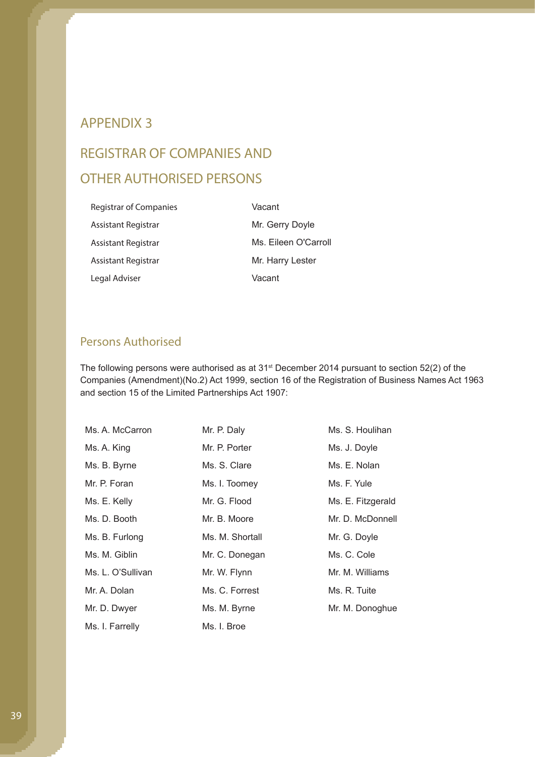# APPENDIX 3

# REGISTRAR OF COMPANIES AND OTHER AUTHORISED PERSONS

Registrar of Companies **Vacant** Assistant Registrar Mr. Gerry Doyle Assistant Registrar Ms. Eileen O'Carroll Assistant Registrar Mr. Harry Lester Legal Adviser **Vacant** 

# Persons Authorised

The following persons were authorised as at 31<sup>st</sup> December 2014 pursuant to section 52(2) of the Companies (Amendment)(No.2) Act 1999, section 16 of the Registration of Business Names Act 1963 and section 15 of the Limited Partnerships Act 1907:

| Ms. A. McCarron   | Mr. P. Daly     | Ms. S. Houlihan   |
|-------------------|-----------------|-------------------|
| Ms. A. King       | Mr. P. Porter   | Ms. J. Doyle      |
| Ms. B. Byrne      | Ms. S. Clare    | Ms. E. Nolan      |
| Mr. P. Foran      | Ms. I. Toomey   | Ms. F. Yule       |
| Ms. E. Kelly      | Mr. G. Flood    | Ms. E. Fitzgerald |
| Ms. D. Booth      | Mr. B. Moore    | Mr. D. McDonnell  |
| Ms. B. Furlong    | Ms. M. Shortall | Mr. G. Doyle      |
| Ms. M. Giblin     | Mr. C. Donegan  | Ms. C. Cole       |
| Ms. L. O'Sullivan | Mr. W. Flynn    | Mr. M. Williams   |
| Mr. A. Dolan      | Ms. C. Forrest  | Ms. R. Tuite      |
| Mr. D. Dwyer      | Ms. M. Byrne    | Mr. M. Donoghue   |
| Ms. I. Farrelly   | Ms. I. Broe     |                   |